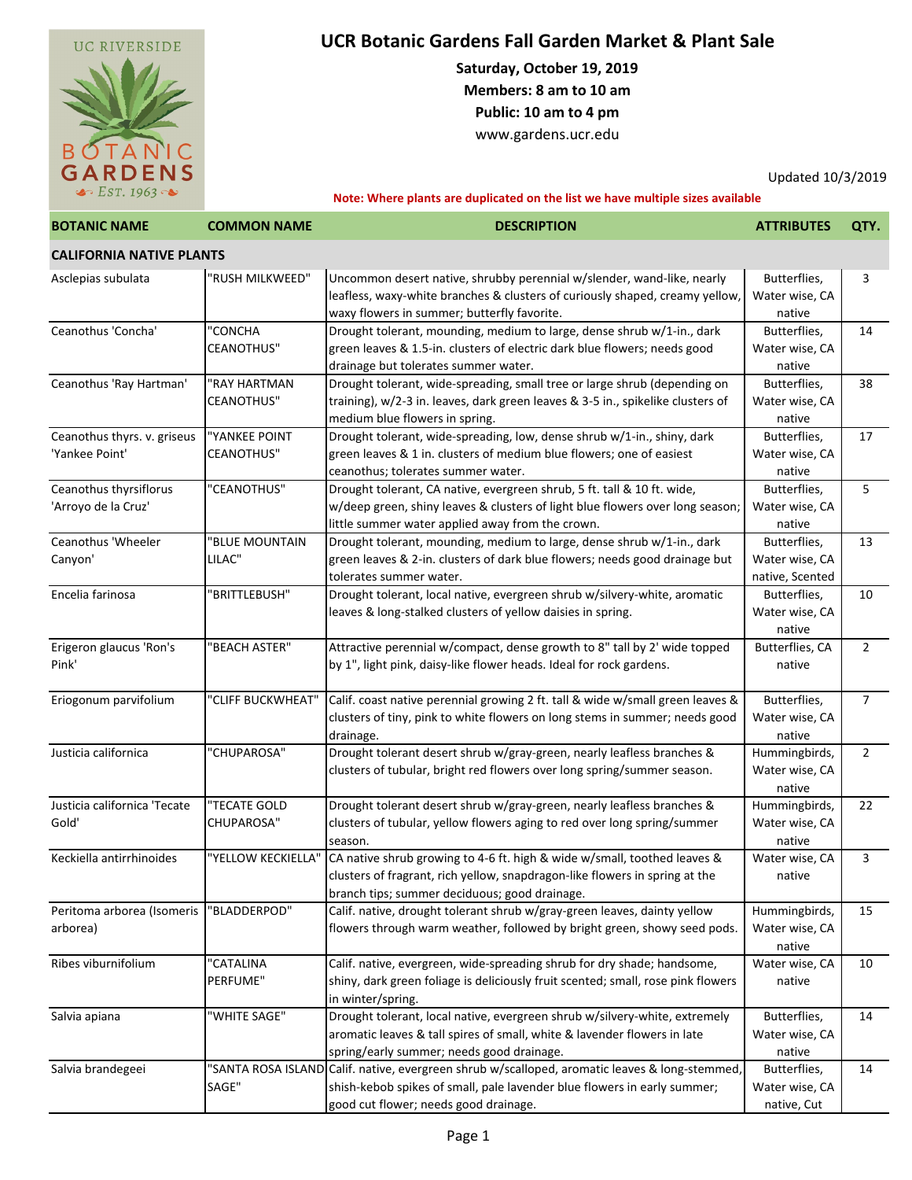

## **UCR Botanic Gardens Fall Garden Market & Plant Sale**

**Saturday, October 19, 2019 Members: 8 am to 10 am**

**Public: 10 am to 4 pm**

[www.gardens.ucr.edu](http://www.gardens.ucr.edu/)

Updated 10/3/2019

**Note: Where plants are duplicated on the list we have multiple sizes available**

| <b>BOTANIC NAME</b>                           | <b>COMMON NAME</b>                 | <b>DESCRIPTION</b>                                                                                                                                                                                                  | <b>ATTRIBUTES</b>                                 | QTY.           |
|-----------------------------------------------|------------------------------------|---------------------------------------------------------------------------------------------------------------------------------------------------------------------------------------------------------------------|---------------------------------------------------|----------------|
| <b>CALIFORNIA NATIVE PLANTS</b>               |                                    |                                                                                                                                                                                                                     |                                                   |                |
| Asclepias subulata                            | "RUSH MILKWEED"                    | Uncommon desert native, shrubby perennial w/slender, wand-like, nearly<br>leafless, waxy-white branches & clusters of curiously shaped, creamy yellow,<br>waxy flowers in summer; butterfly favorite.               | Butterflies,<br>Water wise, CA<br>native          | 3              |
| Ceanothus 'Concha'                            | "CONCHA<br><b>CEANOTHUS"</b>       | Drought tolerant, mounding, medium to large, dense shrub w/1-in., dark<br>green leaves & 1.5-in. clusters of electric dark blue flowers; needs good<br>drainage but tolerates summer water.                         | Butterflies,<br>Water wise, CA<br>native          | 14             |
| Ceanothus 'Ray Hartman'                       | "RAY HARTMAN<br><b>CEANOTHUS"</b>  | Drought tolerant, wide-spreading, small tree or large shrub (depending on<br>training), w/2-3 in. leaves, dark green leaves & 3-5 in., spikelike clusters of<br>medium blue flowers in spring.                      | Butterflies,<br>Water wise, CA<br>native          | 38             |
| Ceanothus thyrs. v. griseus<br>'Yankee Point' | "YANKEE POINT<br><b>CEANOTHUS"</b> | Drought tolerant, wide-spreading, low, dense shrub w/1-in., shiny, dark<br>green leaves & 1 in. clusters of medium blue flowers; one of easiest<br>ceanothus; tolerates summer water.                               | Butterflies,<br>Water wise, CA<br>native          | 17             |
| Ceanothus thyrsiflorus<br>'Arroyo de la Cruz' | "CEANOTHUS"                        | Drought tolerant, CA native, evergreen shrub, 5 ft. tall & 10 ft. wide,<br>w/deep green, shiny leaves & clusters of light blue flowers over long season;<br>little summer water applied away from the crown.        | Butterflies,<br>Water wise, CA<br>native          | 5              |
| Ceanothus 'Wheeler<br>Canyon'                 | "BLUE MOUNTAIN<br>LILAC"           | Drought tolerant, mounding, medium to large, dense shrub w/1-in., dark<br>green leaves & 2-in. clusters of dark blue flowers; needs good drainage but<br>tolerates summer water.                                    | Butterflies,<br>Water wise, CA<br>native, Scented | 13             |
| Encelia farinosa                              | "BRITTLEBUSH"                      | Drought tolerant, local native, evergreen shrub w/silvery-white, aromatic<br>leaves & long-stalked clusters of yellow daisies in spring.                                                                            | Butterflies,<br>Water wise, CA<br>native          | 10             |
| Erigeron glaucus 'Ron's<br>Pink'              | 'BEACH ASTER"                      | Attractive perennial w/compact, dense growth to 8" tall by 2' wide topped<br>by 1", light pink, daisy-like flower heads. Ideal for rock gardens.                                                                    | Butterflies, CA<br>native                         | $\overline{2}$ |
| Eriogonum parvifolium                         | "CLIFF BUCKWHEAT"                  | Calif. coast native perennial growing 2 ft. tall & wide w/small green leaves &<br>clusters of tiny, pink to white flowers on long stems in summer; needs good<br>drainage.                                          | Butterflies,<br>Water wise, CA<br>native          | $\overline{7}$ |
| Justicia californica                          | "CHUPAROSA"                        | Drought tolerant desert shrub w/gray-green, nearly leafless branches &<br>clusters of tubular, bright red flowers over long spring/summer season.                                                                   | Hummingbirds,<br>Water wise, CA<br>native         | $\overline{2}$ |
| Justicia californica 'Tecate<br>Gold'         | "TECATE GOLD<br>CHUPAROSA"         | Drought tolerant desert shrub w/gray-green, nearly leafless branches &<br>clusters of tubular, yellow flowers aging to red over long spring/summer<br>season.                                                       | Hummingbirds,<br>Water wise, CA<br>native         | 22             |
| Keckiella antirrhinoides                      | "YELLOW KECKIELLA"                 | CA native shrub growing to 4-6 ft. high & wide w/small, toothed leaves &<br>clusters of fragrant, rich yellow, snapdragon-like flowers in spring at the<br>branch tips; summer deciduous; good drainage.            | Water wise, CA<br>native                          | 3              |
| Peritoma arborea (Isomeris<br>arborea)        | "BLADDERPOD"                       | Calif. native, drought tolerant shrub w/gray-green leaves, dainty yellow<br>flowers through warm weather, followed by bright green, showy seed pods.                                                                | Hummingbirds,<br>Water wise, CA<br>native         | 15             |
| Ribes viburnifolium                           | "CATALINA<br>PERFUME"              | Calif. native, evergreen, wide-spreading shrub for dry shade; handsome,<br>shiny, dark green foliage is deliciously fruit scented; small, rose pink flowers<br>in winter/spring.                                    | Water wise, CA<br>native                          | 10             |
| Salvia apiana                                 | "WHITE SAGE"                       | Drought tolerant, local native, evergreen shrub w/silvery-white, extremely<br>aromatic leaves & tall spires of small, white & lavender flowers in late<br>spring/early summer; needs good drainage.                 | Butterflies,<br>Water wise, CA<br>native          | 14             |
| Salvia brandegeei                             | SAGE"                              | 'SANTA ROSA ISLAND Calif. native, evergreen shrub w/scalloped, aromatic leaves & long-stemmed,<br>shish-kebob spikes of small, pale lavender blue flowers in early summer;<br>good cut flower; needs good drainage. | Butterflies,<br>Water wise, CA<br>native, Cut     | 14             |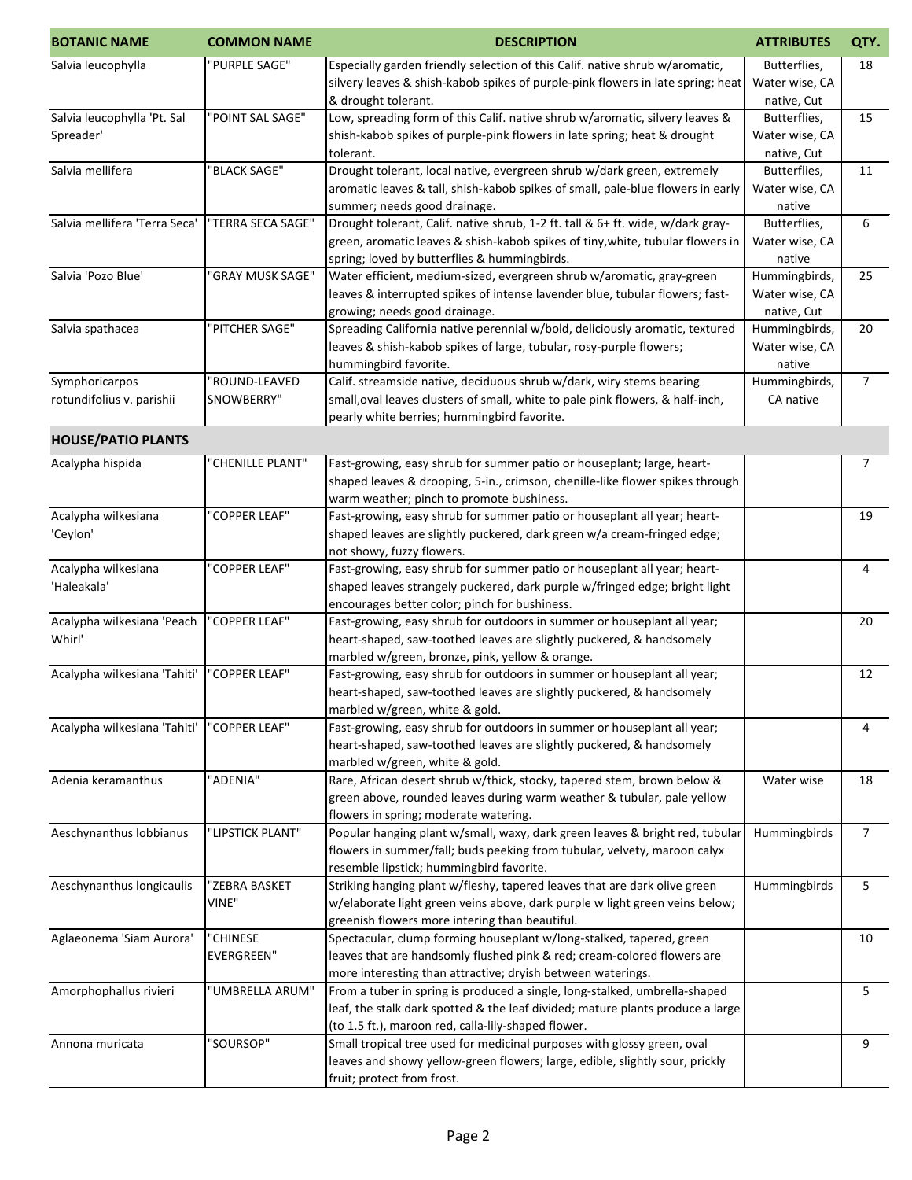| <b>BOTANIC NAME</b>           | <b>COMMON NAME</b> | <b>DESCRIPTION</b>                                                                                                                                           | <b>ATTRIBUTES</b>               | QTY.           |
|-------------------------------|--------------------|--------------------------------------------------------------------------------------------------------------------------------------------------------------|---------------------------------|----------------|
| Salvia leucophylla            | "PURPLE SAGE"      | Especially garden friendly selection of this Calif. native shrub w/aromatic,                                                                                 | Butterflies,                    | 18             |
|                               |                    | silvery leaves & shish-kabob spikes of purple-pink flowers in late spring; heat                                                                              | Water wise, CA                  |                |
|                               |                    | & drought tolerant.                                                                                                                                          | native, Cut                     |                |
| Salvia leucophylla 'Pt. Sal   | "POINT SAL SAGE"   | Low, spreading form of this Calif. native shrub w/aromatic, silvery leaves &                                                                                 | Butterflies,                    | 15             |
| Spreader'                     |                    | shish-kabob spikes of purple-pink flowers in late spring; heat & drought                                                                                     | Water wise, CA                  |                |
| Salvia mellifera              | "BLACK SAGE"       | tolerant.<br>Drought tolerant, local native, evergreen shrub w/dark green, extremely                                                                         | native, Cut<br>Butterflies,     | 11             |
|                               |                    | aromatic leaves & tall, shish-kabob spikes of small, pale-blue flowers in early                                                                              | Water wise, CA                  |                |
|                               |                    | summer; needs good drainage.                                                                                                                                 | native                          |                |
| Salvia mellifera 'Terra Seca' | "TERRA SECA SAGE"  | Drought tolerant, Calif. native shrub, 1-2 ft. tall & 6+ ft. wide, w/dark gray-                                                                              | Butterflies,                    | 6              |
|                               |                    | green, aromatic leaves & shish-kabob spikes of tiny, white, tubular flowers in                                                                               | Water wise, CA                  |                |
|                               |                    | spring; loved by butterflies & hummingbirds.                                                                                                                 | native                          |                |
| Salvia 'Pozo Blue'            | "GRAY MUSK SAGE"   | Water efficient, medium-sized, evergreen shrub w/aromatic, gray-green                                                                                        | Hummingbirds,                   | 25             |
|                               |                    | leaves & interrupted spikes of intense lavender blue, tubular flowers; fast-                                                                                 | Water wise, CA                  |                |
| Salvia spathacea              | "PITCHER SAGE"     | growing; needs good drainage.<br>Spreading California native perennial w/bold, deliciously aromatic, textured                                                | native, Cut                     | 20             |
|                               |                    | leaves & shish-kabob spikes of large, tubular, rosy-purple flowers;                                                                                          | Hummingbirds,<br>Water wise, CA |                |
|                               |                    | hummingbird favorite.                                                                                                                                        | native                          |                |
| Symphoricarpos                | "ROUND-LEAVED      | Calif. streamside native, deciduous shrub w/dark, wiry stems bearing                                                                                         | Hummingbirds,                   | $\overline{7}$ |
| rotundifolius v. parishii     | SNOWBERRY"         | small, oval leaves clusters of small, white to pale pink flowers, & half-inch,                                                                               | CA native                       |                |
|                               |                    | pearly white berries; hummingbird favorite.                                                                                                                  |                                 |                |
| <b>HOUSE/PATIO PLANTS</b>     |                    |                                                                                                                                                              |                                 |                |
| Acalypha hispida              | "CHENILLE PLANT"   | Fast-growing, easy shrub for summer patio or houseplant; large, heart-                                                                                       |                                 | 7              |
|                               |                    | shaped leaves & drooping, 5-in., crimson, chenille-like flower spikes through                                                                                |                                 |                |
|                               |                    | warm weather; pinch to promote bushiness.                                                                                                                    |                                 |                |
| Acalypha wilkesiana           | "COPPER LEAF"      | Fast-growing, easy shrub for summer patio or houseplant all year; heart-                                                                                     |                                 | 19             |
| 'Ceylon'                      |                    | shaped leaves are slightly puckered, dark green w/a cream-fringed edge;                                                                                      |                                 |                |
|                               |                    | not showy, fuzzy flowers.                                                                                                                                    |                                 |                |
| Acalypha wilkesiana           | "COPPER LEAF"      | Fast-growing, easy shrub for summer patio or houseplant all year; heart-                                                                                     |                                 | 4              |
| 'Haleakala'                   |                    | shaped leaves strangely puckered, dark purple w/fringed edge; bright light                                                                                   |                                 |                |
| Acalypha wilkesiana 'Peach    | "COPPER LEAF"      | encourages better color; pinch for bushiness.<br>Fast-growing, easy shrub for outdoors in summer or houseplant all year;                                     |                                 | 20             |
| Whirl'                        |                    | heart-shaped, saw-toothed leaves are slightly puckered, & handsomely                                                                                         |                                 |                |
|                               |                    | marbled w/green, bronze, pink, yellow & orange.                                                                                                              |                                 |                |
| Acalypha wilkesiana 'Tahiti'  | "COPPER LEAF"      | Fast-growing, easy shrub for outdoors in summer or houseplant all year;                                                                                      |                                 | 12             |
|                               |                    | heart-shaped, saw-toothed leaves are slightly puckered, & handsomely                                                                                         |                                 |                |
|                               |                    | marbled w/green, white & gold.                                                                                                                               |                                 |                |
| Acalypha wilkesiana 'Tahiti'  | "COPPER LEAF"      | Fast-growing, easy shrub for outdoors in summer or houseplant all year;                                                                                      |                                 | 4              |
|                               |                    | heart-shaped, saw-toothed leaves are slightly puckered, & handsomely                                                                                         |                                 |                |
|                               |                    | marbled w/green, white & gold.                                                                                                                               |                                 |                |
| Adenia keramanthus            | "ADENIA"           | Rare, African desert shrub w/thick, stocky, tapered stem, brown below &                                                                                      | Water wise                      | 18             |
|                               |                    | green above, rounded leaves during warm weather & tubular, pale yellow<br>flowers in spring; moderate watering.                                              |                                 |                |
| Aeschynanthus lobbianus       | "LIPSTICK PLANT"   | Popular hanging plant w/small, waxy, dark green leaves & bright red, tubular                                                                                 | Hummingbirds                    | 7              |
|                               |                    | flowers in summer/fall; buds peeking from tubular, velvety, maroon calyx                                                                                     |                                 |                |
|                               |                    | resemble lipstick; hummingbird favorite.                                                                                                                     |                                 |                |
| Aeschynanthus longicaulis     | "ZEBRA BASKET      | Striking hanging plant w/fleshy, tapered leaves that are dark olive green                                                                                    | Hummingbirds                    | 5              |
|                               | VINE"              | w/elaborate light green veins above, dark purple w light green veins below;                                                                                  |                                 |                |
|                               |                    | greenish flowers more intering than beautiful.                                                                                                               |                                 |                |
| Aglaeonema 'Siam Aurora'      | "CHINESE           | Spectacular, clump forming houseplant w/long-stalked, tapered, green                                                                                         |                                 | 10             |
|                               | <b>EVERGREEN"</b>  | leaves that are handsomly flushed pink & red; cream-colored flowers are                                                                                      |                                 |                |
|                               |                    | more interesting than attractive; dryish between waterings.                                                                                                  |                                 |                |
| Amorphophallus rivieri        | "UMBRELLA ARUM"    | From a tuber in spring is produced a single, long-stalked, umbrella-shaped<br>leaf, the stalk dark spotted & the leaf divided; mature plants produce a large |                                 | 5              |
|                               |                    | (to 1.5 ft.), maroon red, calla-lily-shaped flower.                                                                                                          |                                 |                |
| Annona muricata               | "SOURSOP"          | Small tropical tree used for medicinal purposes with glossy green, oval                                                                                      |                                 | 9              |
|                               |                    | leaves and showy yellow-green flowers; large, edible, slightly sour, prickly                                                                                 |                                 |                |
|                               |                    | fruit; protect from frost.                                                                                                                                   |                                 |                |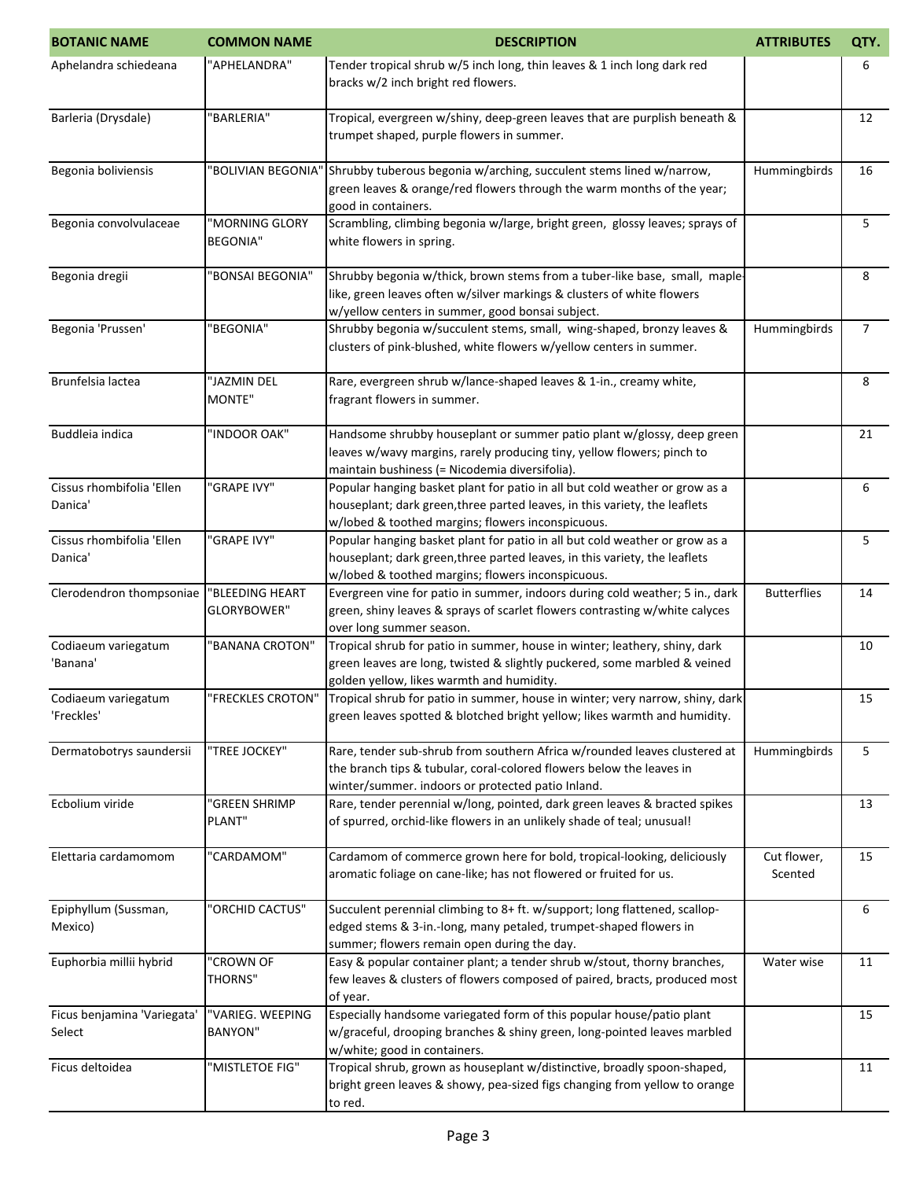| <b>BOTANIC NAME</b>                   | <b>COMMON NAME</b>                 | <b>DESCRIPTION</b>                                                                                                                                                                                             | <b>ATTRIBUTES</b>      | QTY.           |
|---------------------------------------|------------------------------------|----------------------------------------------------------------------------------------------------------------------------------------------------------------------------------------------------------------|------------------------|----------------|
| Aphelandra schiedeana                 | "APHELANDRA"                       | Tender tropical shrub w/5 inch long, thin leaves & 1 inch long dark red<br>bracks w/2 inch bright red flowers.                                                                                                 |                        | 6              |
| Barleria (Drysdale)                   | "BARLERIA"                         | Tropical, evergreen w/shiny, deep-green leaves that are purplish beneath &<br>trumpet shaped, purple flowers in summer.                                                                                        |                        | 12             |
| Begonia boliviensis                   | "BOLIVIAN BEGONIA'                 | Shrubby tuberous begonia w/arching, succulent stems lined w/narrow,<br>green leaves & orange/red flowers through the warm months of the year;<br>good in containers.                                           | Hummingbirds           | 16             |
| Begonia convolvulaceae                | "MORNING GLORY<br><b>BEGONIA"</b>  | Scrambling, climbing begonia w/large, bright green, glossy leaves; sprays of<br>white flowers in spring.                                                                                                       |                        | 5              |
| Begonia dregii                        | "BONSAI BEGONIA"                   | Shrubby begonia w/thick, brown stems from a tuber-like base, small, maple-<br>like, green leaves often w/silver markings & clusters of white flowers<br>w/yellow centers in summer, good bonsai subject.       |                        | 8              |
| Begonia 'Prussen'                     | "BEGONIA"                          | Shrubby begonia w/succulent stems, small, wing-shaped, bronzy leaves &<br>clusters of pink-blushed, white flowers w/yellow centers in summer.                                                                  | Hummingbirds           | $\overline{7}$ |
| Brunfelsia lactea                     | "JAZMIN DEL<br>MONTE"              | Rare, evergreen shrub w/lance-shaped leaves & 1-in., creamy white,<br>fragrant flowers in summer.                                                                                                              |                        | 8              |
| Buddleia indica                       | "INDOOR OAK"                       | Handsome shrubby houseplant or summer patio plant w/glossy, deep green<br>leaves w/wavy margins, rarely producing tiny, yellow flowers; pinch to<br>maintain bushiness (= Nicodemia diversifolia).             |                        | 21             |
| Cissus rhombifolia 'Ellen<br>Danica'  | "GRAPE IVY"                        | Popular hanging basket plant for patio in all but cold weather or grow as a<br>houseplant; dark green, three parted leaves, in this variety, the leaflets<br>w/lobed & toothed margins; flowers inconspicuous. |                        | 6              |
| Cissus rhombifolia 'Ellen<br>Danica'  | "GRAPE IVY"                        | Popular hanging basket plant for patio in all but cold weather or grow as a<br>houseplant; dark green, three parted leaves, in this variety, the leaflets<br>w/lobed & toothed margins; flowers inconspicuous. |                        | 5              |
| Clerodendron thompsoniae              | "BLEEDING HEART<br>GLORYBOWER"     | Evergreen vine for patio in summer, indoors during cold weather; 5 in., dark<br>green, shiny leaves & sprays of scarlet flowers contrasting w/white calyces<br>over long summer season.                        | <b>Butterflies</b>     | 14             |
| Codiaeum variegatum<br>'Banana'       | "BANANA CROTON"                    | Tropical shrub for patio in summer, house in winter; leathery, shiny, dark<br>green leaves are long, twisted & slightly puckered, some marbled & veined<br>golden yellow, likes warmth and humidity.           |                        | 10             |
| Codiaeum variegatum<br>'Freckles'     | "FRECKLES CROTON"                  | Tropical shrub for patio in summer, house in winter; very narrow, shiny, dark<br>green leaves spotted & blotched bright yellow; likes warmth and humidity.                                                     |                        | 15             |
| Dermatobotrys saundersii              | "TREE JOCKEY"                      | Rare, tender sub-shrub from southern Africa w/rounded leaves clustered at<br>the branch tips & tubular, coral-colored flowers below the leaves in<br>winter/summer. indoors or protected patio Inland.         | Hummingbirds           | 5              |
| Ecbolium viride                       | "GREEN SHRIMP<br>PLANT"            | Rare, tender perennial w/long, pointed, dark green leaves & bracted spikes<br>of spurred, orchid-like flowers in an unlikely shade of teal; unusual!                                                           |                        | 13             |
| Elettaria cardamomom                  | "CARDAMOM"                         | Cardamom of commerce grown here for bold, tropical-looking, deliciously<br>aromatic foliage on cane-like; has not flowered or fruited for us.                                                                  | Cut flower,<br>Scented | 15             |
| Epiphyllum (Sussman,<br>Mexico)       | "ORCHID CACTUS"                    | Succulent perennial climbing to 8+ ft. w/support; long flattened, scallop-<br>edged stems & 3-in.-long, many petaled, trumpet-shaped flowers in<br>summer; flowers remain open during the day.                 |                        | 6              |
| Euphorbia millii hybrid               | "CROWN OF<br><b>THORNS"</b>        | Easy & popular container plant; a tender shrub w/stout, thorny branches,<br>few leaves & clusters of flowers composed of paired, bracts, produced most<br>of year.                                             | Water wise             | 11             |
| Ficus benjamina 'Variegata'<br>Select | "VARIEG. WEEPING<br><b>BANYON"</b> | Especially handsome variegated form of this popular house/patio plant<br>w/graceful, drooping branches & shiny green, long-pointed leaves marbled<br>w/white; good in containers.                              |                        | 15             |
| Ficus deltoidea                       | "MISTLETOE FIG"                    | Tropical shrub, grown as houseplant w/distinctive, broadly spoon-shaped,<br>bright green leaves & showy, pea-sized figs changing from yellow to orange<br>to red.                                              |                        | 11             |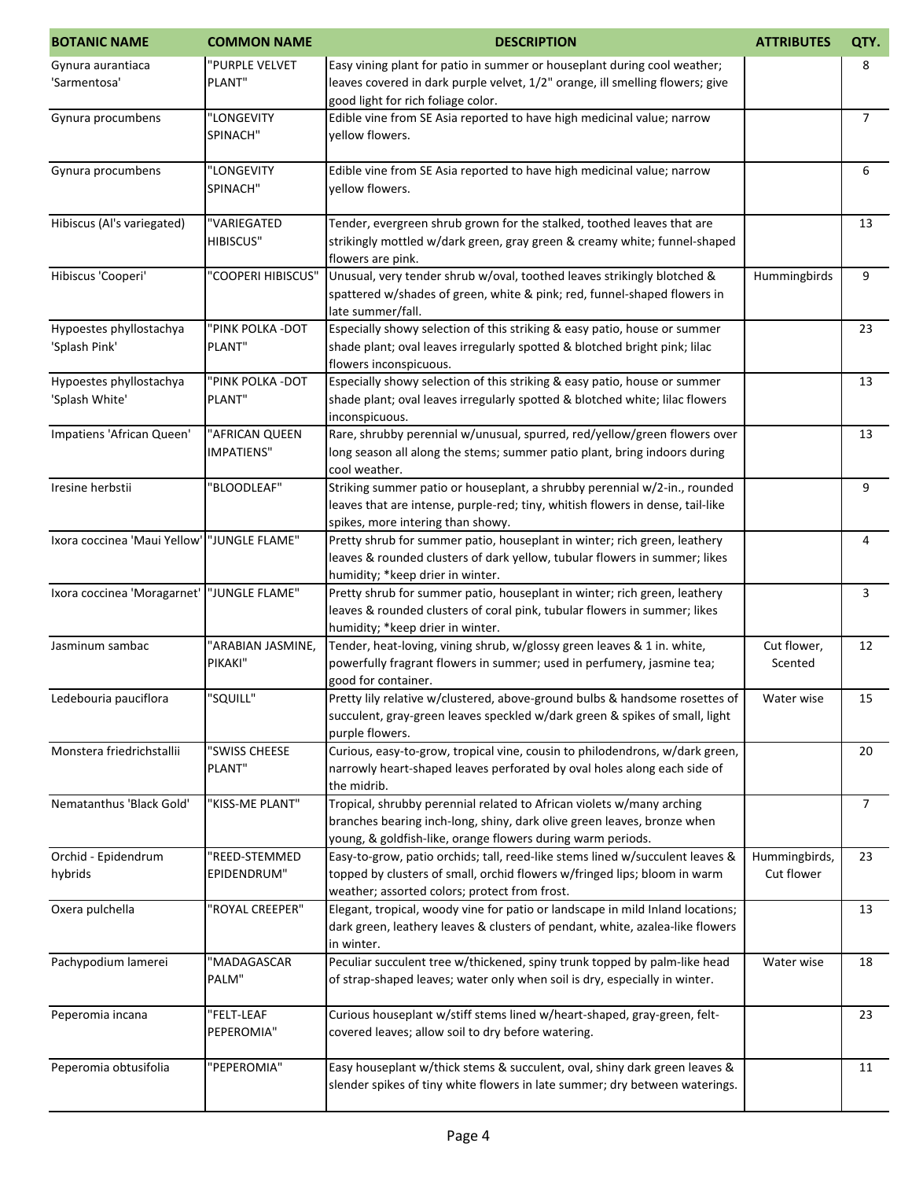| <b>BOTANIC NAME</b>                         | <b>COMMON NAME</b>                  | <b>DESCRIPTION</b>                                                                                                                                                                                              | <b>ATTRIBUTES</b>           | QTY.           |
|---------------------------------------------|-------------------------------------|-----------------------------------------------------------------------------------------------------------------------------------------------------------------------------------------------------------------|-----------------------------|----------------|
| Gynura aurantiaca<br>'Sarmentosa'           | "PURPLE VELVET<br>PLANT"            | Easy vining plant for patio in summer or houseplant during cool weather;<br>leaves covered in dark purple velvet, 1/2" orange, ill smelling flowers; give<br>good light for rich foliage color.                 |                             | 8              |
| Gynura procumbens                           | "LONGEVITY<br>SPINACH"              | Edible vine from SE Asia reported to have high medicinal value; narrow<br>yellow flowers.                                                                                                                       |                             | $\overline{7}$ |
| Gynura procumbens                           | "LONGEVITY<br>SPINACH"              | Edible vine from SE Asia reported to have high medicinal value; narrow<br>vellow flowers.                                                                                                                       |                             | 6              |
| Hibiscus (Al's variegated)                  | "VARIEGATED<br><b>HIBISCUS"</b>     | Tender, evergreen shrub grown for the stalked, toothed leaves that are<br>strikingly mottled w/dark green, gray green & creamy white; funnel-shaped<br>flowers are pink.                                        |                             | 13             |
| Hibiscus 'Cooperi'                          | "COOPERI HIBISCUS"                  | Unusual, very tender shrub w/oval, toothed leaves strikingly blotched &<br>spattered w/shades of green, white & pink; red, funnel-shaped flowers in<br>late summer/fall.                                        | Hummingbirds                | 9              |
| Hypoestes phyllostachya<br>'Splash Pink'    | "PINK POLKA - DOT<br>PLANT"         | Especially showy selection of this striking & easy patio, house or summer<br>shade plant; oval leaves irregularly spotted & blotched bright pink; lilac<br>flowers inconspicuous.                               |                             | 23             |
| Hypoestes phyllostachya<br>'Splash White'   | "PINK POLKA -DOT<br>PLANT"          | Especially showy selection of this striking & easy patio, house or summer<br>shade plant; oval leaves irregularly spotted & blotched white; lilac flowers<br>inconspicuous.                                     |                             | 13             |
| Impatiens 'African Queen'                   | "AFRICAN QUEEN<br><b>IMPATIENS"</b> | Rare, shrubby perennial w/unusual, spurred, red/yellow/green flowers over<br>long season all along the stems; summer patio plant, bring indoors during<br>cool weather.                                         |                             | 13             |
| Iresine herbstii                            | "BLOODLEAF"                         | Striking summer patio or houseplant, a shrubby perennial w/2-in., rounded<br>leaves that are intense, purple-red; tiny, whitish flowers in dense, tail-like<br>spikes, more intering than showy.                |                             | 9              |
| Ixora coccinea 'Maui Yellow' 'JUNGLE FLAME" |                                     | Pretty shrub for summer patio, houseplant in winter; rich green, leathery<br>leaves & rounded clusters of dark yellow, tubular flowers in summer; likes<br>humidity; *keep drier in winter.                     |                             | 4              |
| Ixora coccinea 'Moragarnet'  "JUNGLE FLAME" |                                     | Pretty shrub for summer patio, houseplant in winter; rich green, leathery<br>leaves & rounded clusters of coral pink, tubular flowers in summer; likes<br>humidity; *keep drier in winter.                      |                             | 3              |
| Jasminum sambac                             | "ARABIAN JASMINE,<br>PIKAKI"        | Tender, heat-loving, vining shrub, w/glossy green leaves & 1 in. white,<br>powerfully fragrant flowers in summer; used in perfumery, jasmine tea;<br>good for container.                                        | Cut flower,<br>Scented      | 12             |
| Ledebouria pauciflora                       | "SQUILL"                            | Pretty lily relative w/clustered, above-ground bulbs & handsome rosettes of<br>succulent, gray-green leaves speckled w/dark green & spikes of small, light<br>purple flowers.                                   | Water wise                  | 15             |
| Monstera friedrichstallii                   | "SWISS CHEESE<br>PLANT"             | Curious, easy-to-grow, tropical vine, cousin to philodendrons, w/dark green,<br>narrowly heart-shaped leaves perforated by oval holes along each side of<br>the midrib.                                         |                             | 20             |
| Nematanthus 'Black Gold'                    | "KISS-ME PLANT"                     | Tropical, shrubby perennial related to African violets w/many arching<br>branches bearing inch-long, shiny, dark olive green leaves, bronze when<br>young, & goldfish-like, orange flowers during warm periods. |                             | $\overline{7}$ |
| Orchid - Epidendrum<br>hybrids              | "REED-STEMMED<br>EPIDENDRUM"        | Easy-to-grow, patio orchids; tall, reed-like stems lined w/succulent leaves &<br>topped by clusters of small, orchid flowers w/fringed lips; bloom in warm<br>weather; assorted colors; protect from frost.     | Hummingbirds,<br>Cut flower | 23             |
| Oxera pulchella                             | "ROYAL CREEPER"                     | Elegant, tropical, woody vine for patio or landscape in mild Inland locations;<br>dark green, leathery leaves & clusters of pendant, white, azalea-like flowers<br>in winter.                                   |                             | 13             |
| Pachypodium lamerei                         | "MADAGASCAR<br>PALM"                | Peculiar succulent tree w/thickened, spiny trunk topped by palm-like head<br>of strap-shaped leaves; water only when soil is dry, especially in winter.                                                         | Water wise                  | 18             |
| Peperomia incana                            | "FELT-LEAF<br>PEPEROMIA"            | Curious houseplant w/stiff stems lined w/heart-shaped, gray-green, felt-<br>covered leaves; allow soil to dry before watering.                                                                                  |                             | 23             |
| Peperomia obtusifolia                       | "PEPEROMIA"                         | Easy houseplant w/thick stems & succulent, oval, shiny dark green leaves &<br>slender spikes of tiny white flowers in late summer; dry between waterings.                                                       |                             | 11             |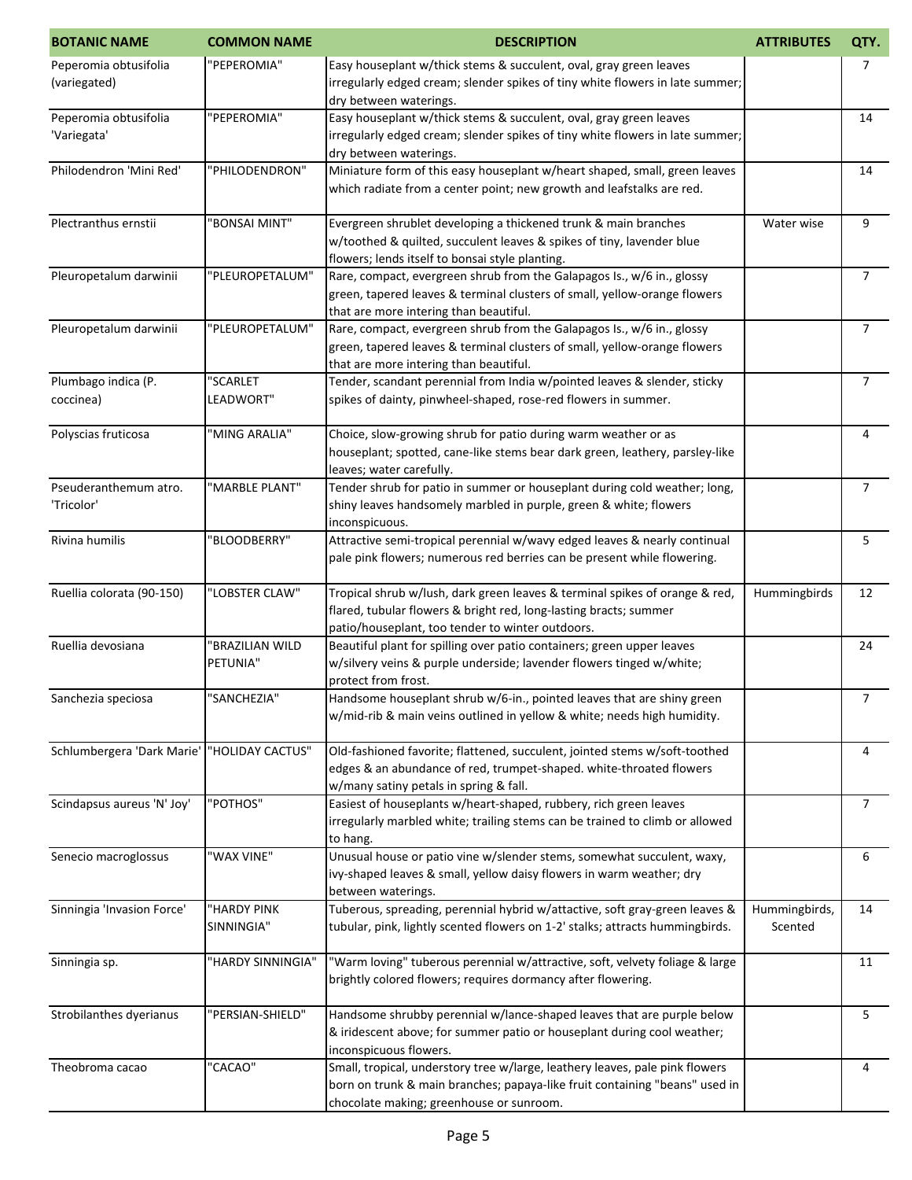| <b>BOTANIC NAME</b>                   | <b>COMMON NAME</b>          | <b>DESCRIPTION</b>                                                                                                                                                                                      | <b>ATTRIBUTES</b>        | QTY.           |
|---------------------------------------|-----------------------------|---------------------------------------------------------------------------------------------------------------------------------------------------------------------------------------------------------|--------------------------|----------------|
| Peperomia obtusifolia<br>(variegated) | "PEPEROMIA"                 | Easy houseplant w/thick stems & succulent, oval, gray green leaves<br>irregularly edged cream; slender spikes of tiny white flowers in late summer;<br>dry between waterings.                           |                          | 7              |
| Peperomia obtusifolia<br>'Variegata'  | "PEPEROMIA"                 | Easy houseplant w/thick stems & succulent, oval, gray green leaves<br>irregularly edged cream; slender spikes of tiny white flowers in late summer;<br>dry between waterings.                           |                          | 14             |
| Philodendron 'Mini Red'               | "PHILODENDRON"              | Miniature form of this easy houseplant w/heart shaped, small, green leaves<br>which radiate from a center point; new growth and leafstalks are red.                                                     |                          | 14             |
| Plectranthus ernstii                  | "BONSAI MINT"               | Evergreen shrublet developing a thickened trunk & main branches<br>w/toothed & quilted, succulent leaves & spikes of tiny, lavender blue<br>flowers; lends itself to bonsai style planting.             | Water wise               | 9              |
| Pleuropetalum darwinii                | "PLEUROPETALUM"             | Rare, compact, evergreen shrub from the Galapagos Is., w/6 in., glossy<br>green, tapered leaves & terminal clusters of small, yellow-orange flowers<br>that are more intering than beautiful.           |                          | $\overline{7}$ |
| Pleuropetalum darwinii                | "PLEUROPETALUM"             | Rare, compact, evergreen shrub from the Galapagos Is., w/6 in., glossy<br>green, tapered leaves & terminal clusters of small, yellow-orange flowers<br>that are more intering than beautiful.           |                          | $\overline{7}$ |
| Plumbago indica (P.<br>coccinea)      | "SCARLET<br>LEADWORT"       | Tender, scandant perennial from India w/pointed leaves & slender, sticky<br>spikes of dainty, pinwheel-shaped, rose-red flowers in summer.                                                              |                          | $\overline{7}$ |
| Polyscias fruticosa                   | "MING ARALIA"               | Choice, slow-growing shrub for patio during warm weather or as<br>houseplant; spotted, cane-like stems bear dark green, leathery, parsley-like<br>leaves; water carefully.                              |                          | 4              |
| Pseuderanthemum atro.<br>'Tricolor'   | "MARBLE PLANT"              | Tender shrub for patio in summer or houseplant during cold weather; long,<br>shiny leaves handsomely marbled in purple, green & white; flowers<br>inconspicuous.                                        |                          | $\overline{7}$ |
| Rivina humilis                        | "BLOODBERRY"                | Attractive semi-tropical perennial w/wavy edged leaves & nearly continual<br>pale pink flowers; numerous red berries can be present while flowering.                                                    |                          | 5              |
| Ruellia colorata (90-150)             | "LOBSTER CLAW"              | Tropical shrub w/lush, dark green leaves & terminal spikes of orange & red,<br>flared, tubular flowers & bright red, long-lasting bracts; summer<br>patio/houseplant, too tender to winter outdoors.    | Hummingbirds             | 12             |
| Ruellia devosiana                     | "BRAZILIAN WILD<br>PETUNIA" | Beautiful plant for spilling over patio containers; green upper leaves<br>w/silvery veins & purple underside; lavender flowers tinged w/white;<br>protect from frost.                                   |                          | 24             |
| Sanchezia speciosa                    | "SANCHEZIA"                 | Handsome houseplant shrub w/6-in., pointed leaves that are shiny green<br>w/mid-rib & main veins outlined in yellow & white; needs high humidity.                                                       |                          | 7              |
| Schlumbergera 'Dark Marie'            | "HOLIDAY CACTUS"            | Old-fashioned favorite; flattened, succulent, jointed stems w/soft-toothed<br>edges & an abundance of red, trumpet-shaped. white-throated flowers<br>w/many satiny petals in spring & fall.             |                          | 4              |
| Scindapsus aureus 'N' Joy'            | "POTHOS"                    | Easiest of houseplants w/heart-shaped, rubbery, rich green leaves<br>irregularly marbled white; trailing stems can be trained to climb or allowed<br>to hang.                                           |                          | $\overline{7}$ |
| Senecio macroglossus                  | "WAX VINE"                  | Unusual house or patio vine w/slender stems, somewhat succulent, waxy,<br>ivy-shaped leaves & small, yellow daisy flowers in warm weather; dry<br>between waterings.                                    |                          | 6              |
| Sinningia 'Invasion Force'            | "HARDY PINK<br>SINNINGIA"   | Tuberous, spreading, perennial hybrid w/attactive, soft gray-green leaves &<br>tubular, pink, lightly scented flowers on 1-2' stalks; attracts hummingbirds.                                            | Hummingbirds,<br>Scented | 14             |
| Sinningia sp.                         | "HARDY SINNINGIA"           | "Warm loving" tuberous perennial w/attractive, soft, velvety foliage & large<br>brightly colored flowers; requires dormancy after flowering.                                                            |                          | 11             |
| Strobilanthes dyerianus               | "PERSIAN-SHIELD"            | Handsome shrubby perennial w/lance-shaped leaves that are purple below<br>& iridescent above; for summer patio or houseplant during cool weather;<br>inconspicuous flowers.                             |                          | 5              |
| Theobroma cacao                       | "CACAO"                     | Small, tropical, understory tree w/large, leathery leaves, pale pink flowers<br>born on trunk & main branches; papaya-like fruit containing "beans" used in<br>chocolate making; greenhouse or sunroom. |                          | 4              |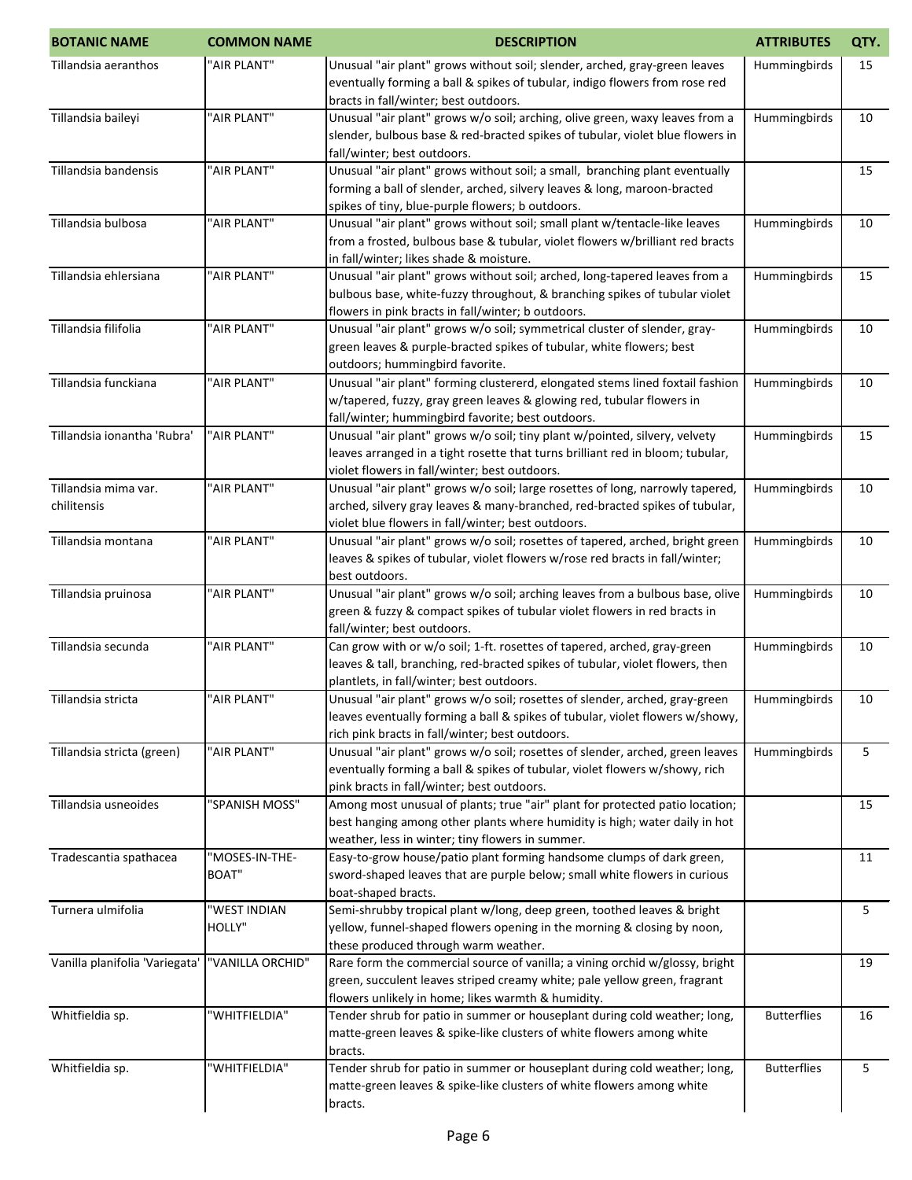| <b>BOTANIC NAME</b>            | <b>COMMON NAME</b> | <b>DESCRIPTION</b>                                                                                                                                         | <b>ATTRIBUTES</b>  | QTY. |
|--------------------------------|--------------------|------------------------------------------------------------------------------------------------------------------------------------------------------------|--------------------|------|
| Tillandsia aeranthos           | "AIR PLANT"        | Unusual "air plant" grows without soil; slender, arched, gray-green leaves                                                                                 | Hummingbirds       | 15   |
|                                |                    | eventually forming a ball & spikes of tubular, indigo flowers from rose red                                                                                |                    |      |
|                                |                    | bracts in fall/winter; best outdoors.                                                                                                                      |                    |      |
| Tillandsia baileyi             | "AIR PLANT"        | Unusual "air plant" grows w/o soil; arching, olive green, waxy leaves from a                                                                               | Hummingbirds       | 10   |
|                                |                    | slender, bulbous base & red-bracted spikes of tubular, violet blue flowers in                                                                              |                    |      |
|                                |                    | fall/winter; best outdoors.                                                                                                                                |                    |      |
| Tillandsia bandensis           | "AIR PLANT"        | Unusual "air plant" grows without soil; a small, branching plant eventually                                                                                |                    | 15   |
|                                |                    | forming a ball of slender, arched, silvery leaves & long, maroon-bracted                                                                                   |                    |      |
|                                |                    | spikes of tiny, blue-purple flowers; b outdoors.                                                                                                           |                    |      |
| Tillandsia bulbosa             | "AIR PLANT"        | Unusual "air plant" grows without soil; small plant w/tentacle-like leaves                                                                                 | Hummingbirds       | 10   |
|                                |                    | from a frosted, bulbous base & tubular, violet flowers w/brilliant red bracts                                                                              |                    |      |
| Tillandsia ehlersiana          | "AIR PLANT"        | in fall/winter; likes shade & moisture.<br>Unusual "air plant" grows without soil; arched, long-tapered leaves from a                                      | Hummingbirds       | 15   |
|                                |                    | bulbous base, white-fuzzy throughout, & branching spikes of tubular violet                                                                                 |                    |      |
|                                |                    | flowers in pink bracts in fall/winter; b outdoors.                                                                                                         |                    |      |
| Tillandsia filifolia           | "AIR PLANT"        | Unusual "air plant" grows w/o soil; symmetrical cluster of slender, gray-                                                                                  | Hummingbirds       | 10   |
|                                |                    | green leaves & purple-bracted spikes of tubular, white flowers; best                                                                                       |                    |      |
|                                |                    | outdoors; hummingbird favorite.                                                                                                                            |                    |      |
| Tillandsia funckiana           | "AIR PLANT"        | Unusual "air plant" forming clustererd, elongated stems lined foxtail fashion                                                                              | Hummingbirds       | 10   |
|                                |                    | w/tapered, fuzzy, gray green leaves & glowing red, tubular flowers in                                                                                      |                    |      |
|                                |                    | fall/winter; hummingbird favorite; best outdoors.                                                                                                          |                    |      |
| Tillandsia ionantha 'Rubra'    | "AIR PLANT"        | Unusual "air plant" grows w/o soil; tiny plant w/pointed, silvery, velvety                                                                                 | Hummingbirds       | 15   |
|                                |                    | leaves arranged in a tight rosette that turns brilliant red in bloom; tubular,                                                                             |                    |      |
|                                |                    | violet flowers in fall/winter; best outdoors.                                                                                                              |                    |      |
| Tillandsia mima var.           | "AIR PLANT"        | Unusual "air plant" grows w/o soil; large rosettes of long, narrowly tapered,                                                                              | Hummingbirds       | 10   |
| chilitensis                    |                    | arched, silvery gray leaves & many-branched, red-bracted spikes of tubular,                                                                                |                    |      |
|                                |                    | violet blue flowers in fall/winter; best outdoors.                                                                                                         |                    |      |
| Tillandsia montana             | "AIR PLANT"        | Unusual "air plant" grows w/o soil; rosettes of tapered, arched, bright green                                                                              | Hummingbirds       | 10   |
|                                |                    | leaves & spikes of tubular, violet flowers w/rose red bracts in fall/winter;                                                                               |                    |      |
|                                |                    | best outdoors.                                                                                                                                             |                    |      |
| Tillandsia pruinosa            | "AIR PLANT"        | Unusual "air plant" grows w/o soil; arching leaves from a bulbous base, olive<br>green & fuzzy & compact spikes of tubular violet flowers in red bracts in | Hummingbirds       | 10   |
|                                |                    | fall/winter; best outdoors.                                                                                                                                |                    |      |
| Tillandsia secunda             | "AIR PLANT"        | Can grow with or w/o soil; 1-ft. rosettes of tapered, arched, gray-green                                                                                   | Hummingbirds       | 10   |
|                                |                    | leaves & tall, branching, red-bracted spikes of tubular, violet flowers, then                                                                              |                    |      |
|                                |                    | plantlets, in fall/winter; best outdoors.                                                                                                                  |                    |      |
| Tillandsia stricta             | "AIR PLANT"        | Unusual "air plant" grows w/o soil; rosettes of slender, arched, gray-green                                                                                | Hummingbirds       | 10   |
|                                |                    | leaves eventually forming a ball & spikes of tubular, violet flowers w/showy,                                                                              |                    |      |
|                                |                    | rich pink bracts in fall/winter; best outdoors.                                                                                                            |                    |      |
| Tillandsia stricta (green)     | "AIR PLANT"        | Unusual "air plant" grows w/o soil; rosettes of slender, arched, green leaves                                                                              | Hummingbirds       | 5    |
|                                |                    | eventually forming a ball & spikes of tubular, violet flowers w/showy, rich                                                                                |                    |      |
|                                |                    | pink bracts in fall/winter; best outdoors.                                                                                                                 |                    |      |
| Tillandsia usneoides           | "SPANISH MOSS"     | Among most unusual of plants; true "air" plant for protected patio location;                                                                               |                    | 15   |
|                                |                    | best hanging among other plants where humidity is high; water daily in hot                                                                                 |                    |      |
|                                |                    | weather, less in winter; tiny flowers in summer.                                                                                                           |                    |      |
| Tradescantia spathacea         | "MOSES-IN-THE-     | Easy-to-grow house/patio plant forming handsome clumps of dark green,                                                                                      |                    | 11   |
|                                | <b>BOAT"</b>       | sword-shaped leaves that are purple below; small white flowers in curious                                                                                  |                    |      |
| Turnera ulmifolia              | "WEST INDIAN       | boat-shaped bracts.<br>Semi-shrubby tropical plant w/long, deep green, toothed leaves & bright                                                             |                    | 5    |
|                                | HOLLY"             | yellow, funnel-shaped flowers opening in the morning & closing by noon,                                                                                    |                    |      |
|                                |                    | these produced through warm weather.                                                                                                                       |                    |      |
| Vanilla planifolia 'Variegata' | "VANILLA ORCHID"   | Rare form the commercial source of vanilla; a vining orchid w/glossy, bright                                                                               |                    | 19   |
|                                |                    | green, succulent leaves striped creamy white; pale yellow green, fragrant                                                                                  |                    |      |
|                                |                    | flowers unlikely in home; likes warmth & humidity.                                                                                                         |                    |      |
| Whitfieldia sp.                | "WHITFIELDIA"      | Tender shrub for patio in summer or houseplant during cold weather; long,                                                                                  | <b>Butterflies</b> | 16   |
|                                |                    | matte-green leaves & spike-like clusters of white flowers among white                                                                                      |                    |      |
|                                |                    | bracts.                                                                                                                                                    |                    |      |
| Whitfieldia sp.                | "WHITFIELDIA"      | Tender shrub for patio in summer or houseplant during cold weather; long,                                                                                  | <b>Butterflies</b> | 5    |
|                                |                    | matte-green leaves & spike-like clusters of white flowers among white                                                                                      |                    |      |
|                                |                    | bracts.                                                                                                                                                    |                    |      |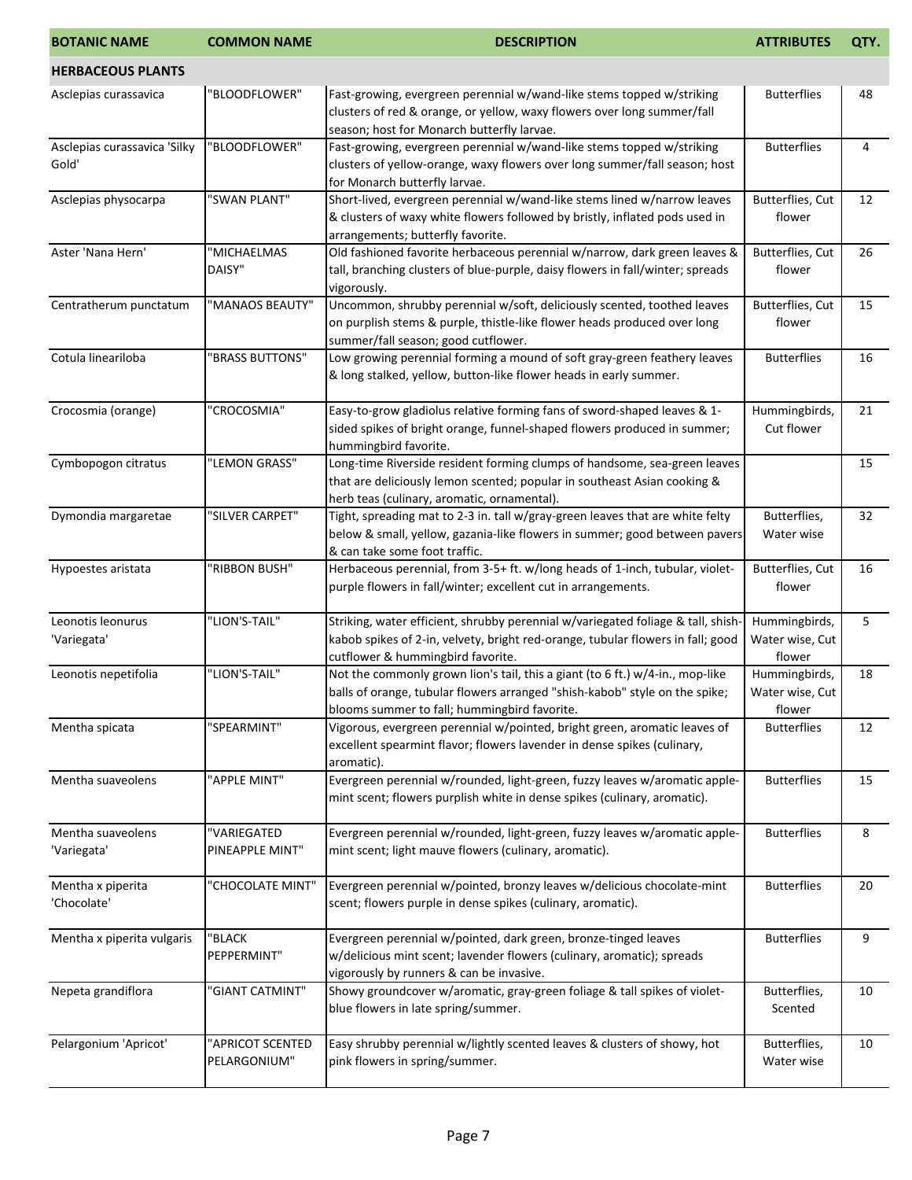| <b>BOTANIC NAME</b>                   | <b>COMMON NAME</b>               | <b>DESCRIPTION</b>                                                                                                                                                                                           | <b>ATTRIBUTES</b>                          | QTY. |
|---------------------------------------|----------------------------------|--------------------------------------------------------------------------------------------------------------------------------------------------------------------------------------------------------------|--------------------------------------------|------|
| <b>HERBACEOUS PLANTS</b>              |                                  |                                                                                                                                                                                                              |                                            |      |
| Asclepias curassavica                 | "BLOODFLOWER"                    | Fast-growing, evergreen perennial w/wand-like stems topped w/striking<br>clusters of red & orange, or yellow, waxy flowers over long summer/fall<br>season; host for Monarch butterfly larvae.               | <b>Butterflies</b>                         | 48   |
| Asclepias curassavica 'Silky<br>Gold' | "BLOODFLOWER"                    | Fast-growing, evergreen perennial w/wand-like stems topped w/striking<br>clusters of yellow-orange, waxy flowers over long summer/fall season; host<br>for Monarch butterfly larvae.                         | <b>Butterflies</b>                         | 4    |
| Asclepias physocarpa                  | "SWAN PLANT"                     | Short-lived, evergreen perennial w/wand-like stems lined w/narrow leaves<br>& clusters of waxy white flowers followed by bristly, inflated pods used in<br>arrangements; butterfly favorite.                 | Butterflies, Cut<br>flower                 | 12   |
| Aster 'Nana Hern'                     | "MICHAELMAS<br>DAISY"            | Old fashioned favorite herbaceous perennial w/narrow, dark green leaves &<br>tall, branching clusters of blue-purple, daisy flowers in fall/winter; spreads<br>vigorously.                                   | Butterflies, Cut<br>flower                 | 26   |
| Centratherum punctatum                | "MANAOS BEAUTY"                  | Uncommon, shrubby perennial w/soft, deliciously scented, toothed leaves<br>on purplish stems & purple, thistle-like flower heads produced over long<br>summer/fall season; good cutflower.                   | Butterflies, Cut<br>flower                 | 15   |
| Cotula lineariloba                    | "BRASS BUTTONS"                  | Low growing perennial forming a mound of soft gray-green feathery leaves<br>& long stalked, yellow, button-like flower heads in early summer.                                                                | <b>Butterflies</b>                         | 16   |
| Crocosmia (orange)                    | "CROCOSMIA"                      | Easy-to-grow gladiolus relative forming fans of sword-shaped leaves & 1-<br>sided spikes of bright orange, funnel-shaped flowers produced in summer;<br>hummingbird favorite.                                | Hummingbirds,<br>Cut flower                | 21   |
| Cymbopogon citratus                   | "LEMON GRASS"                    | Long-time Riverside resident forming clumps of handsome, sea-green leaves<br>that are deliciously lemon scented; popular in southeast Asian cooking &<br>herb teas (culinary, aromatic, ornamental).         |                                            | 15   |
| Dymondia margaretae                   | "SILVER CARPET"                  | Tight, spreading mat to 2-3 in. tall w/gray-green leaves that are white felty<br>below & small, yellow, gazania-like flowers in summer; good between pavers<br>& can take some foot traffic.                 | Butterflies,<br>Water wise                 | 32   |
| Hypoestes aristata                    | "RIBBON BUSH"                    | Herbaceous perennial, from 3-5+ ft. w/long heads of 1-inch, tubular, violet-<br>purple flowers in fall/winter; excellent cut in arrangements.                                                                | Butterflies, Cut<br>flower                 | 16   |
| Leonotis leonurus<br>'Variegata'      | "LION'S-TAIL"                    | Striking, water efficient, shrubby perennial w/variegated foliage & tall, shish-<br>kabob spikes of 2-in, velvety, bright red-orange, tubular flowers in fall; good<br>cutflower & hummingbird favorite.     | Hummingbirds,<br>Water wise, Cut<br>flower | 5    |
| Leonotis nepetifolia                  | "LION'S-TAIL"                    | Not the commonly grown lion's tail, this a giant (to 6 ft.) w/4-in., mop-like<br>balls of orange, tubular flowers arranged "shish-kabob" style on the spike;<br>blooms summer to fall; hummingbird favorite. | Hummingbirds,<br>Water wise, Cut<br>flower | 18   |
| Mentha spicata                        | "SPEARMINT"                      | Vigorous, evergreen perennial w/pointed, bright green, aromatic leaves of<br>excellent spearmint flavor; flowers lavender in dense spikes (culinary,<br>aromatic).                                           | <b>Butterflies</b>                         | 12   |
| Mentha suaveolens                     | "APPLE MINT"                     | Evergreen perennial w/rounded, light-green, fuzzy leaves w/aromatic apple-<br>mint scent; flowers purplish white in dense spikes (culinary, aromatic).                                                       | <b>Butterflies</b>                         | 15   |
| Mentha suaveolens<br>'Variegata'      | "VARIEGATED<br>PINEAPPLE MINT"   | Evergreen perennial w/rounded, light-green, fuzzy leaves w/aromatic apple-<br>mint scent; light mauve flowers (culinary, aromatic).                                                                          | <b>Butterflies</b>                         | 8    |
| Mentha x piperita<br>'Chocolate'      | "CHOCOLATE MINT"                 | Evergreen perennial w/pointed, bronzy leaves w/delicious chocolate-mint<br>scent; flowers purple in dense spikes (culinary, aromatic).                                                                       | <b>Butterflies</b>                         | 20   |
| Mentha x piperita vulgaris            | "BLACK<br>PEPPERMINT"            | Evergreen perennial w/pointed, dark green, bronze-tinged leaves<br>w/delicious mint scent; lavender flowers (culinary, aromatic); spreads<br>vigorously by runners & can be invasive.                        | <b>Butterflies</b>                         | 9    |
| Nepeta grandiflora                    | "GIANT CATMINT"                  | Showy groundcover w/aromatic, gray-green foliage & tall spikes of violet-<br>blue flowers in late spring/summer.                                                                                             | Butterflies,<br>Scented                    | 10   |
| Pelargonium 'Apricot'                 | "APRICOT SCENTED<br>PELARGONIUM" | Easy shrubby perennial w/lightly scented leaves & clusters of showy, hot<br>pink flowers in spring/summer.                                                                                                   | Butterflies,<br>Water wise                 | 10   |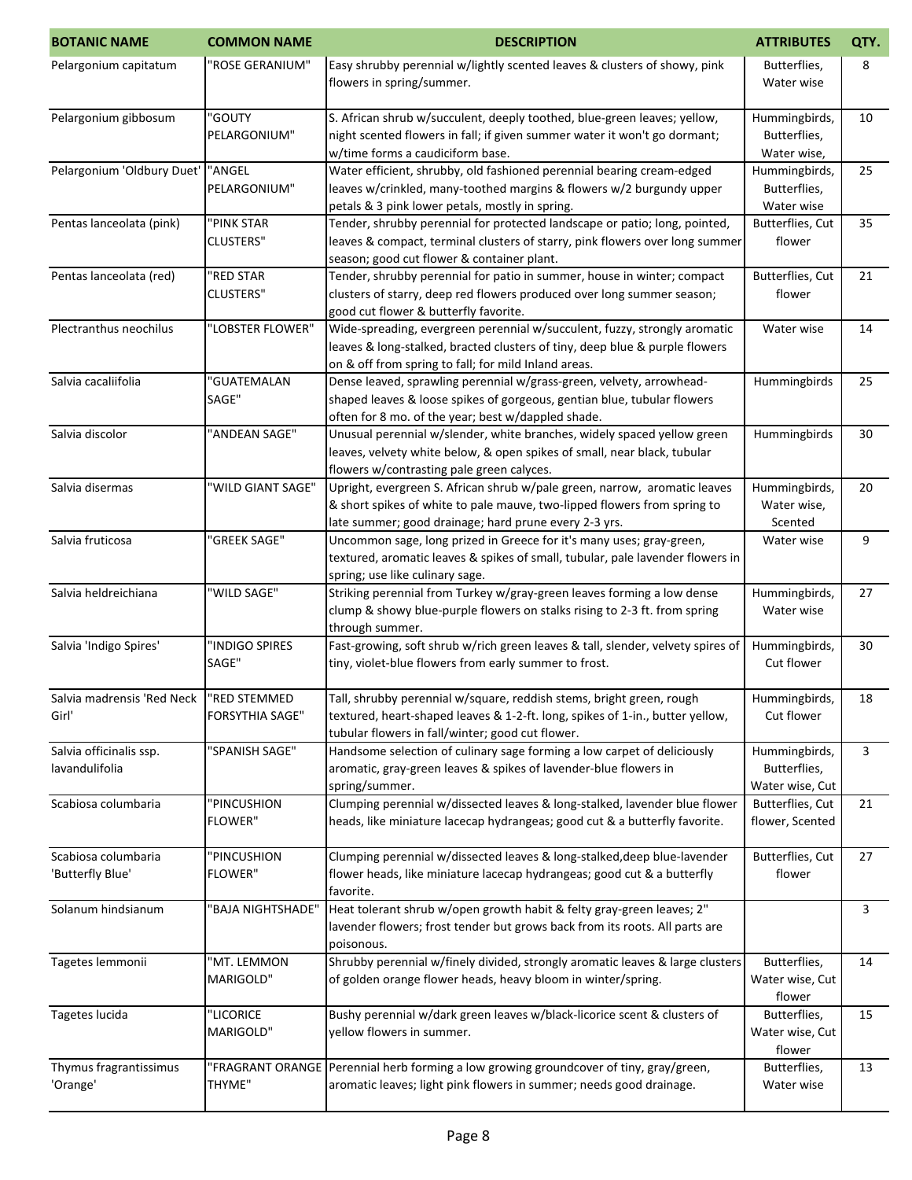| <b>BOTANIC NAME</b>                       | <b>COMMON NAME</b>                     | <b>DESCRIPTION</b>                                                                                                                                                                                               | <b>ATTRIBUTES</b>                                | QTY. |
|-------------------------------------------|----------------------------------------|------------------------------------------------------------------------------------------------------------------------------------------------------------------------------------------------------------------|--------------------------------------------------|------|
| Pelargonium capitatum                     | "ROSE GERANIUM"                        | Easy shrubby perennial w/lightly scented leaves & clusters of showy, pink<br>flowers in spring/summer.                                                                                                           | Butterflies,<br>Water wise                       | 8    |
| Pelargonium gibbosum                      | "GOUTY<br>PELARGONIUM"                 | S. African shrub w/succulent, deeply toothed, blue-green leaves; yellow,<br>night scented flowers in fall; if given summer water it won't go dormant;<br>w/time forms a caudiciform base.                        | Hummingbirds,<br>Butterflies,<br>Water wise,     | 10   |
| Pelargonium 'Oldbury Duet'                | "ANGEL<br>PELARGONIUM"                 | Water efficient, shrubby, old fashioned perennial bearing cream-edged<br>leaves w/crinkled, many-toothed margins & flowers w/2 burgundy upper<br>petals & 3 pink lower petals, mostly in spring.                 | Hummingbirds,<br>Butterflies,<br>Water wise      | 25   |
| Pentas lanceolata (pink)                  | "PINK STAR<br><b>CLUSTERS"</b>         | Tender, shrubby perennial for protected landscape or patio; long, pointed,<br>leaves & compact, terminal clusters of starry, pink flowers over long summer<br>season; good cut flower & container plant.         | Butterflies, Cut<br>flower                       | 35   |
| Pentas lanceolata (red)                   | "RED STAR<br><b>CLUSTERS"</b>          | Tender, shrubby perennial for patio in summer, house in winter; compact<br>clusters of starry, deep red flowers produced over long summer season;<br>good cut flower & butterfly favorite.                       | Butterflies, Cut<br>flower                       | 21   |
| Plectranthus neochilus                    | "LOBSTER FLOWER"                       | Wide-spreading, evergreen perennial w/succulent, fuzzy, strongly aromatic<br>leaves & long-stalked, bracted clusters of tiny, deep blue & purple flowers<br>on & off from spring to fall; for mild Inland areas. | Water wise                                       | 14   |
| Salvia cacaliifolia                       | "GUATEMALAN<br>SAGE"                   | Dense leaved, sprawling perennial w/grass-green, velvety, arrowhead-<br>shaped leaves & loose spikes of gorgeous, gentian blue, tubular flowers<br>often for 8 mo. of the year; best w/dappled shade.            | Hummingbirds                                     | 25   |
| Salvia discolor                           | "ANDEAN SAGE"                          | Unusual perennial w/slender, white branches, widely spaced yellow green<br>leaves, velvety white below, & open spikes of small, near black, tubular<br>flowers w/contrasting pale green calyces.                 | Hummingbirds                                     | 30   |
| Salvia disermas                           | "WILD GIANT SAGE"                      | Upright, evergreen S. African shrub w/pale green, narrow, aromatic leaves<br>& short spikes of white to pale mauve, two-lipped flowers from spring to<br>late summer; good drainage; hard prune every 2-3 yrs.   | Hummingbirds,<br>Water wise,<br>Scented          | 20   |
| Salvia fruticosa                          | "GREEK SAGE"                           | Uncommon sage, long prized in Greece for it's many uses; gray-green,<br>textured, aromatic leaves & spikes of small, tubular, pale lavender flowers in<br>spring; use like culinary sage.                        | Water wise                                       | 9    |
| Salvia heldreichiana                      | "WILD SAGE"                            | Striking perennial from Turkey w/gray-green leaves forming a low dense<br>clump & showy blue-purple flowers on stalks rising to 2-3 ft. from spring<br>through summer.                                           | Hummingbirds,<br>Water wise                      | 27   |
| Salvia 'Indigo Spires'                    | "INDIGO SPIRES<br>SAGE"                | Fast-growing, soft shrub w/rich green leaves & tall, slender, velvety spires of<br>tiny, violet-blue flowers from early summer to frost.                                                                         | Hummingbirds,<br>Cut flower                      | 30   |
| Salvia madrensis 'Red Neck<br>Girl'       | "RED STEMMED<br><b>FORSYTHIA SAGE"</b> | Tall, shrubby perennial w/square, reddish stems, bright green, rough<br>textured, heart-shaped leaves & 1-2-ft. long, spikes of 1-in., butter yellow,<br>tubular flowers in fall/winter; good cut flower.        | Hummingbirds,<br>Cut flower                      | 18   |
| Salvia officinalis ssp.<br>lavandulifolia | "SPANISH SAGE"                         | Handsome selection of culinary sage forming a low carpet of deliciously<br>aromatic, gray-green leaves & spikes of lavender-blue flowers in<br>spring/summer.                                                    | Hummingbirds,<br>Butterflies,<br>Water wise, Cut | 3    |
| Scabiosa columbaria                       | "PINCUSHION<br><b>FLOWER"</b>          | Clumping perennial w/dissected leaves & long-stalked, lavender blue flower<br>heads, like miniature lacecap hydrangeas; good cut & a butterfly favorite.                                                         | Butterflies, Cut<br>flower, Scented              | 21   |
| Scabiosa columbaria<br>'Butterfly Blue'   | "PINCUSHION<br><b>FLOWER"</b>          | Clumping perennial w/dissected leaves & long-stalked, deep blue-lavender<br>flower heads, like miniature lacecap hydrangeas; good cut & a butterfly<br>favorite.                                                 | Butterflies, Cut<br>flower                       | 27   |
| Solanum hindsianum                        | 'BAJA NIGHTSHADE"                      | Heat tolerant shrub w/open growth habit & felty gray-green leaves; 2"<br>lavender flowers; frost tender but grows back from its roots. All parts are<br>poisonous.                                               |                                                  | 3    |
| Tagetes lemmonii                          | "MT. LEMMON<br>MARIGOLD"               | Shrubby perennial w/finely divided, strongly aromatic leaves & large clusters<br>of golden orange flower heads, heavy bloom in winter/spring.                                                                    | Butterflies,<br>Water wise, Cut<br>flower        | 14   |
| Tagetes lucida                            | "LICORICE<br>MARIGOLD"                 | Bushy perennial w/dark green leaves w/black-licorice scent & clusters of<br>yellow flowers in summer.                                                                                                            | Butterflies,<br>Water wise, Cut<br>flower        | 15   |
| Thymus fragrantissimus<br>'Orange'        | THYME"                                 | "FRAGRANT ORANGE   Perennial herb forming a low growing groundcover of tiny, gray/green,<br>aromatic leaves; light pink flowers in summer; needs good drainage.                                                  | Butterflies,<br>Water wise                       | 13   |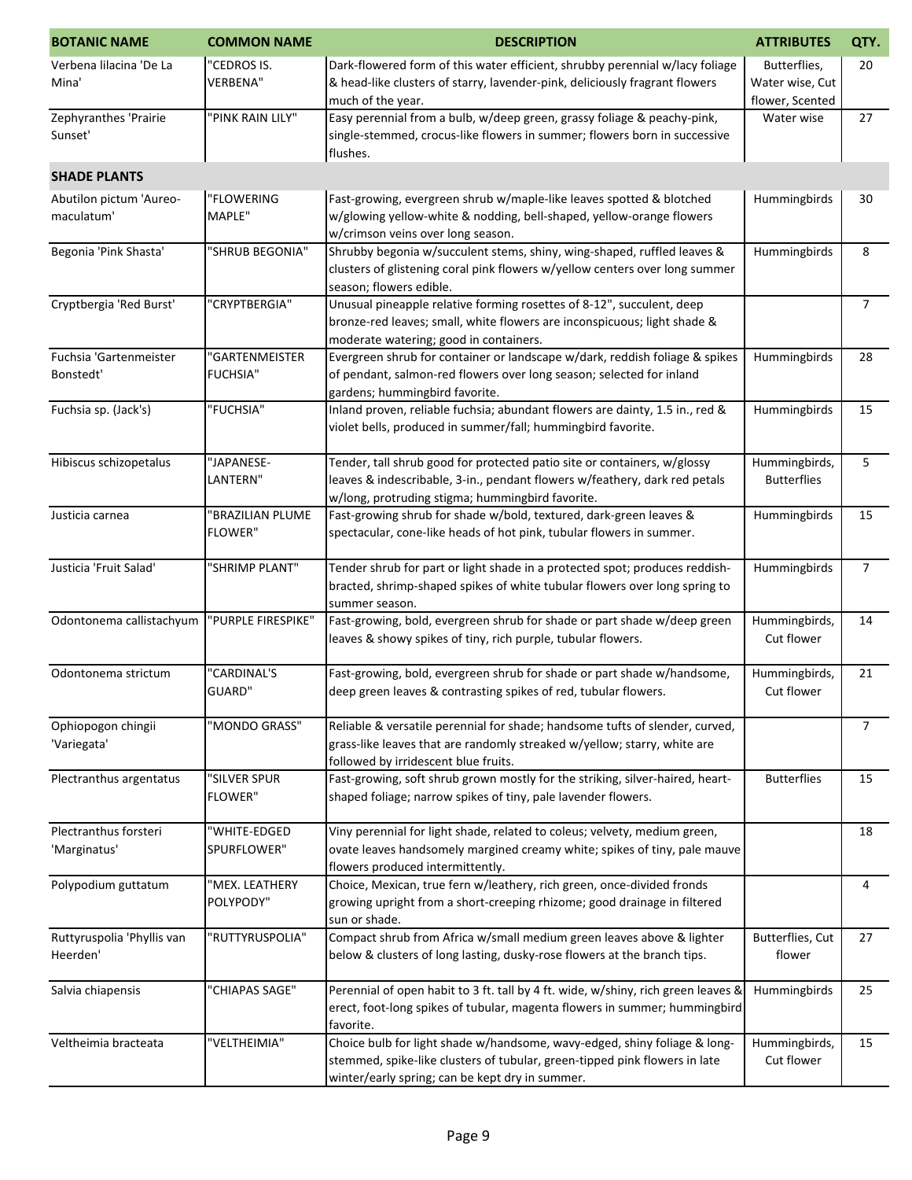| <b>BOTANIC NAME</b>                    | <b>COMMON NAME</b>                 | <b>DESCRIPTION</b>                                                                                                                                                                                         | <b>ATTRIBUTES</b>                                  | QTY.           |
|----------------------------------------|------------------------------------|------------------------------------------------------------------------------------------------------------------------------------------------------------------------------------------------------------|----------------------------------------------------|----------------|
| Verbena lilacina 'De La<br>Mina'       | "CEDROS IS.<br><b>VERBENA"</b>     | Dark-flowered form of this water efficient, shrubby perennial w/lacy foliage<br>& head-like clusters of starry, lavender-pink, deliciously fragrant flowers<br>much of the year.                           | Butterflies,<br>Water wise, Cut<br>flower, Scented | 20             |
| Zephyranthes 'Prairie<br>Sunset'       | "PINK RAIN LILY"                   | Easy perennial from a bulb, w/deep green, grassy foliage & peachy-pink,<br>single-stemmed, crocus-like flowers in summer; flowers born in successive<br>flushes.                                           | Water wise                                         | 27             |
| <b>SHADE PLANTS</b>                    |                                    |                                                                                                                                                                                                            |                                                    |                |
| Abutilon pictum 'Aureo-<br>maculatum'  | "FLOWERING<br>MAPLE"               | Fast-growing, evergreen shrub w/maple-like leaves spotted & blotched<br>w/glowing yellow-white & nodding, bell-shaped, yellow-orange flowers<br>w/crimson veins over long season.                          | Hummingbirds                                       | 30             |
| Begonia 'Pink Shasta'                  | "SHRUB BEGONIA"                    | Shrubby begonia w/succulent stems, shiny, wing-shaped, ruffled leaves &<br>clusters of glistening coral pink flowers w/yellow centers over long summer<br>season; flowers edible.                          | Hummingbirds                                       | 8              |
| Cryptbergia 'Red Burst'                | "CRYPTBERGIA"                      | Unusual pineapple relative forming rosettes of 8-12", succulent, deep<br>bronze-red leaves; small, white flowers are inconspicuous; light shade &<br>moderate watering; good in containers.                |                                                    | $\overline{7}$ |
| Fuchsia 'Gartenmeister<br>Bonstedt'    | "GARTENMEISTER<br><b>FUCHSIA"</b>  | Evergreen shrub for container or landscape w/dark, reddish foliage & spikes<br>of pendant, salmon-red flowers over long season; selected for inland<br>gardens; hummingbird favorite.                      | Hummingbirds                                       | 28             |
| Fuchsia sp. (Jack's)                   | "FUCHSIA"                          | Inland proven, reliable fuchsia; abundant flowers are dainty, 1.5 in., red &<br>violet bells, produced in summer/fall; hummingbird favorite.                                                               | Hummingbirds                                       | 15             |
| Hibiscus schizopetalus                 | "JAPANESE-<br>LANTERN"             | Tender, tall shrub good for protected patio site or containers, w/glossy<br>leaves & indescribable, 3-in., pendant flowers w/feathery, dark red petals<br>w/long, protruding stigma; hummingbird favorite. | Hummingbirds,<br><b>Butterflies</b>                | 5              |
| Justicia carnea                        | "BRAZILIAN PLUME<br><b>FLOWER"</b> | Fast-growing shrub for shade w/bold, textured, dark-green leaves &<br>spectacular, cone-like heads of hot pink, tubular flowers in summer.                                                                 | Hummingbirds                                       | 15             |
| Justicia 'Fruit Salad'                 | "SHRIMP PLANT"                     | Tender shrub for part or light shade in a protected spot; produces reddish-<br>bracted, shrimp-shaped spikes of white tubular flowers over long spring to<br>summer season.                                | Hummingbirds                                       | $\overline{7}$ |
| Odontonema callistachyum               | "PURPLE FIRESPIKE"                 | Fast-growing, bold, evergreen shrub for shade or part shade w/deep green<br>leaves & showy spikes of tiny, rich purple, tubular flowers.                                                                   | Hummingbirds,<br>Cut flower                        | 14             |
| Odontonema strictum                    | "CARDINAL'S<br>GUARD"              | Fast-growing, bold, evergreen shrub for shade or part shade w/handsome,<br>deep green leaves & contrasting spikes of red, tubular flowers.                                                                 | Hummingbirds,<br>Cut flower                        | 21             |
| Ophiopogon chingii<br>'Variegata'      | "MONDO GRASS"                      | Reliable & versatile perennial for shade; handsome tufts of slender, curved,<br>grass-like leaves that are randomly streaked w/yellow; starry, white are<br>followed by irridescent blue fruits.           |                                                    | 7 <sup>7</sup> |
| Plectranthus argentatus                | "SILVER SPUR<br><b>FLOWER"</b>     | Fast-growing, soft shrub grown mostly for the striking, silver-haired, heart-<br>shaped foliage; narrow spikes of tiny, pale lavender flowers.                                                             | <b>Butterflies</b>                                 | 15             |
| Plectranthus forsteri<br>'Marginatus'  | "WHITE-EDGED<br>SPURFLOWER"        | Viny perennial for light shade, related to coleus; velvety, medium green,<br>ovate leaves handsomely margined creamy white; spikes of tiny, pale mauve<br>flowers produced intermittently.                 |                                                    | 18             |
| Polypodium guttatum                    | "MEX. LEATHERY<br>POLYPODY"        | Choice, Mexican, true fern w/leathery, rich green, once-divided fronds<br>growing upright from a short-creeping rhizome; good drainage in filtered<br>sun or shade.                                        |                                                    | 4              |
| Ruttyruspolia 'Phyllis van<br>Heerden' | "RUTTYRUSPOLIA"                    | Compact shrub from Africa w/small medium green leaves above & lighter<br>below & clusters of long lasting, dusky-rose flowers at the branch tips.                                                          | Butterflies, Cut<br>flower                         | 27             |
| Salvia chiapensis                      | "CHIAPAS SAGE"                     | Perennial of open habit to 3 ft. tall by 4 ft. wide, w/shiny, rich green leaves &<br>erect, foot-long spikes of tubular, magenta flowers in summer; hummingbird<br>favorite.                               | Hummingbirds                                       | 25             |
| Veltheimia bracteata                   | "VELTHEIMIA"                       | Choice bulb for light shade w/handsome, wavy-edged, shiny foliage & long-<br>stemmed, spike-like clusters of tubular, green-tipped pink flowers in late<br>winter/early spring; can be kept dry in summer. | Hummingbirds,<br>Cut flower                        | 15             |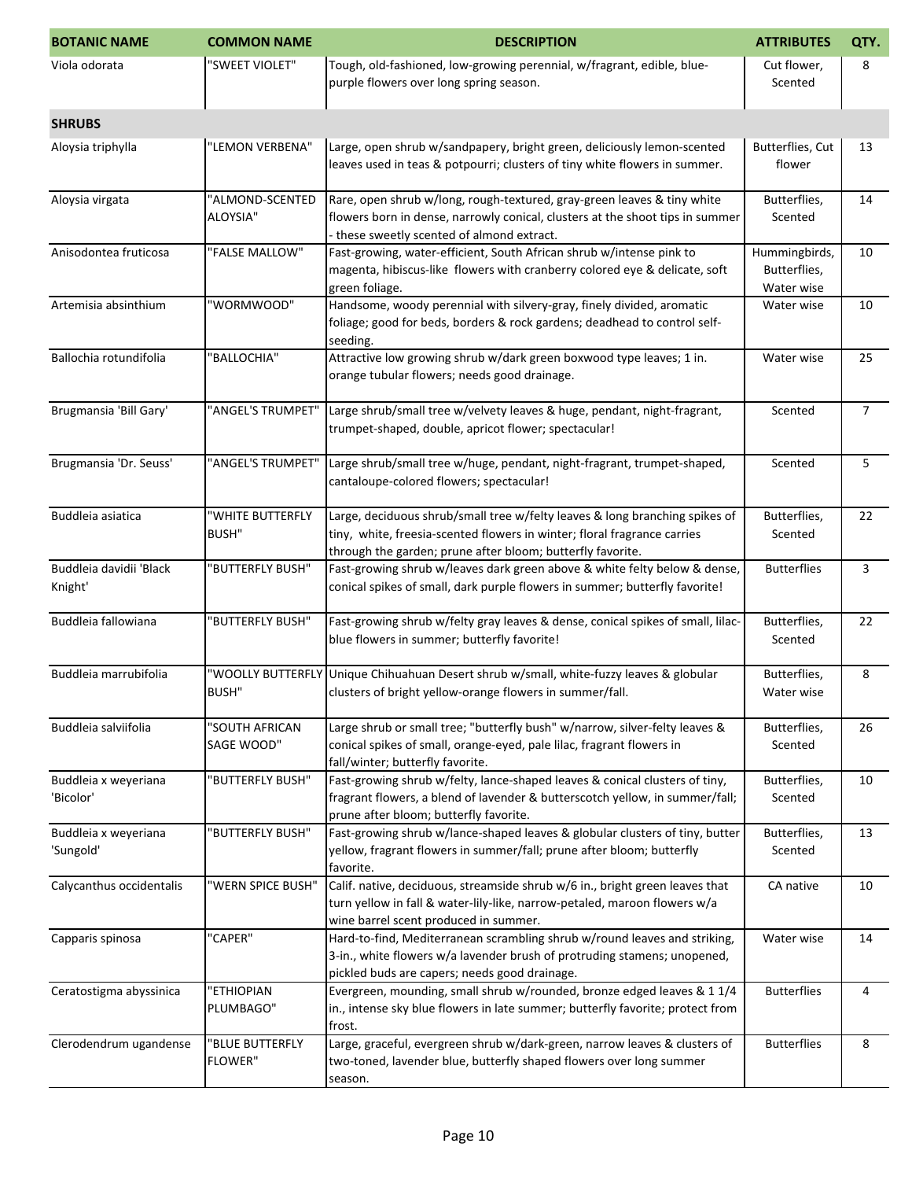| <b>BOTANIC NAME</b>                | <b>COMMON NAME</b>                | <b>DESCRIPTION</b>                                                                                                                                                                                                    | <b>ATTRIBUTES</b>                           | QTY.           |
|------------------------------------|-----------------------------------|-----------------------------------------------------------------------------------------------------------------------------------------------------------------------------------------------------------------------|---------------------------------------------|----------------|
| Viola odorata                      | "SWEET VIOLET"                    | Tough, old-fashioned, low-growing perennial, w/fragrant, edible, blue-<br>purple flowers over long spring season.                                                                                                     | Cut flower,<br>Scented                      | 8              |
| <b>SHRUBS</b>                      |                                   |                                                                                                                                                                                                                       |                                             |                |
| Aloysia triphylla                  | "LEMON VERBENA"                   | Large, open shrub w/sandpapery, bright green, deliciously lemon-scented<br>leaves used in teas & potpourri; clusters of tiny white flowers in summer.                                                                 | Butterflies, Cut<br>flower                  | 13             |
| Aloysia virgata                    | "ALMOND-SCENTED<br>ALOYSIA"       | Rare, open shrub w/long, rough-textured, gray-green leaves & tiny white<br>flowers born in dense, narrowly conical, clusters at the shoot tips in summer<br>these sweetly scented of almond extract.                  | Butterflies,<br>Scented                     | 14             |
| Anisodontea fruticosa              | "FALSE MALLOW"                    | Fast-growing, water-efficient, South African shrub w/intense pink to<br>magenta, hibiscus-like flowers with cranberry colored eye & delicate, soft<br>green foliage.                                                  | Hummingbirds,<br>Butterflies,<br>Water wise | 10             |
| Artemisia absinthium               | "WORMWOOD"                        | Handsome, woody perennial with silvery-gray, finely divided, aromatic<br>foliage; good for beds, borders & rock gardens; deadhead to control self-<br>seeding.                                                        | Water wise                                  | 10             |
| Ballochia rotundifolia             | 'BALLOCHIA"                       | Attractive low growing shrub w/dark green boxwood type leaves; 1 in.<br>orange tubular flowers; needs good drainage.                                                                                                  | Water wise                                  | 25             |
| Brugmansia 'Bill Gary'             | "ANGEL'S TRUMPET"                 | Large shrub/small tree w/velvety leaves & huge, pendant, night-fragrant,<br>trumpet-shaped, double, apricot flower; spectacular!                                                                                      | Scented                                     | $\overline{7}$ |
| Brugmansia 'Dr. Seuss'             | "ANGEL'S TRUMPET"                 | Large shrub/small tree w/huge, pendant, night-fragrant, trumpet-shaped,<br>cantaloupe-colored flowers; spectacular!                                                                                                   | Scented                                     | 5              |
| Buddleia asiatica                  | "WHITE BUTTERFLY<br><b>BUSH"</b>  | Large, deciduous shrub/small tree w/felty leaves & long branching spikes of<br>tiny, white, freesia-scented flowers in winter; floral fragrance carries<br>through the garden; prune after bloom; butterfly favorite. | Butterflies,<br>Scented                     | 22             |
| Buddleia davidii 'Black<br>Knight' | 'BUTTERFLY BUSH"                  | Fast-growing shrub w/leaves dark green above & white felty below & dense,<br>conical spikes of small, dark purple flowers in summer; butterfly favorite!                                                              | <b>Butterflies</b>                          | 3              |
| Buddleia fallowiana                | 'BUTTERFLY BUSH"                  | Fast-growing shrub w/felty gray leaves & dense, conical spikes of small, lilac-<br>blue flowers in summer; butterfly favorite!                                                                                        | Butterflies,<br>Scented                     | 22             |
| Buddleia marrubifolia              | "WOOLLY BUTTERFLY<br><b>BUSH"</b> | Unique Chihuahuan Desert shrub w/small, white-fuzzy leaves & globular<br>clusters of bright yellow-orange flowers in summer/fall.                                                                                     | Butterflies,<br>Water wise                  | 8              |
| Buddleia salviifolia               | "SOUTH AFRICAN<br>SAGE WOOD"      | Large shrub or small tree; "butterfly bush" w/narrow, silver-felty leaves &<br>conical spikes of small, orange-eyed, pale lilac, fragrant flowers in<br>fall/winter; butterfly favorite.                              | Butterflies,<br>Scented                     | 26             |
| Buddleia x weyeriana<br>'Bicolor'  | 'BUTTERFLY BUSH"                  | Fast-growing shrub w/felty, lance-shaped leaves & conical clusters of tiny,<br>fragrant flowers, a blend of lavender & butterscotch yellow, in summer/fall;<br>prune after bloom; butterfly favorite.                 | Butterflies,<br>Scented                     | 10             |
| Buddleia x weyeriana<br>'Sungold'  | "BUTTERFLY BUSH"                  | Fast-growing shrub w/lance-shaped leaves & globular clusters of tiny, butter<br>yellow, fragrant flowers in summer/fall; prune after bloom; butterfly<br>favorite.                                                    | Butterflies,<br>Scented                     | 13             |
| Calycanthus occidentalis           | "WERN SPICE BUSH"                 | Calif. native, deciduous, streamside shrub w/6 in., bright green leaves that<br>turn yellow in fall & water-lily-like, narrow-petaled, maroon flowers w/a<br>wine barrel scent produced in summer.                    | CA native                                   | 10             |
| Capparis spinosa                   | "CAPER"                           | Hard-to-find, Mediterranean scrambling shrub w/round leaves and striking,<br>3-in., white flowers w/a lavender brush of protruding stamens; unopened,<br>pickled buds are capers; needs good drainage.                | Water wise                                  | 14             |
| Ceratostigma abyssinica            | "ETHIOPIAN<br>PLUMBAGO"           | Evergreen, mounding, small shrub w/rounded, bronze edged leaves & 1 1/4<br>in., intense sky blue flowers in late summer; butterfly favorite; protect from<br>frost.                                                   | <b>Butterflies</b>                          | 4              |
| Clerodendrum ugandense             | "BLUE BUTTERFLY<br><b>FLOWER"</b> | Large, graceful, evergreen shrub w/dark-green, narrow leaves & clusters of<br>two-toned, lavender blue, butterfly shaped flowers over long summer<br>season.                                                          | <b>Butterflies</b>                          | 8              |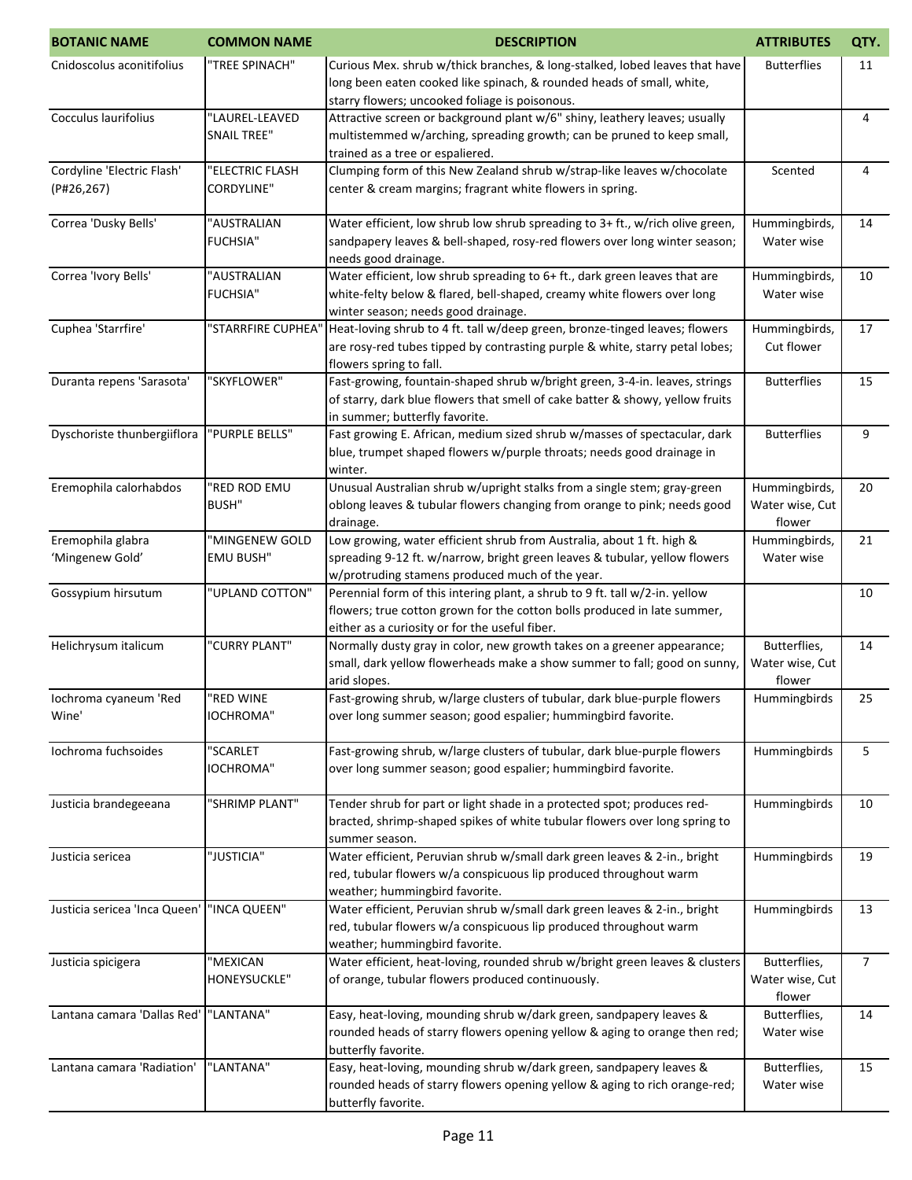| <b>BOTANIC NAME</b>           | <b>COMMON NAME</b> | <b>DESCRIPTION</b>                                                                                                                                   | <b>ATTRIBUTES</b>         | QTY.           |
|-------------------------------|--------------------|------------------------------------------------------------------------------------------------------------------------------------------------------|---------------------------|----------------|
| Cnidoscolus aconitifolius     | "TREE SPINACH"     | Curious Mex. shrub w/thick branches, & long-stalked, lobed leaves that have                                                                          | <b>Butterflies</b>        | 11             |
|                               |                    | long been eaten cooked like spinach, & rounded heads of small, white,                                                                                |                           |                |
|                               |                    | starry flowers; uncooked foliage is poisonous.                                                                                                       |                           |                |
| Cocculus laurifolius          | "LAUREL-LEAVED     | Attractive screen or background plant w/6" shiny, leathery leaves; usually                                                                           |                           | 4              |
|                               | <b>SNAIL TREE"</b> | multistemmed w/arching, spreading growth; can be pruned to keep small,                                                                               |                           |                |
|                               |                    | trained as a tree or espaliered.                                                                                                                     |                           |                |
| Cordyline 'Electric Flash'    | "ELECTRIC FLASH    | Clumping form of this New Zealand shrub w/strap-like leaves w/chocolate                                                                              | Scented                   | 4              |
| (P#26, 267)                   | <b>CORDYLINE"</b>  | center & cream margins; fragrant white flowers in spring.                                                                                            |                           |                |
|                               |                    |                                                                                                                                                      |                           |                |
| Correa 'Dusky Bells'          | "AUSTRALIAN        | Water efficient, low shrub low shrub spreading to 3+ ft., w/rich olive green,                                                                        | Hummingbirds,             | 14             |
|                               | <b>FUCHSIA"</b>    | sandpapery leaves & bell-shaped, rosy-red flowers over long winter season;                                                                           | Water wise                |                |
|                               |                    | needs good drainage.                                                                                                                                 |                           |                |
| Correa 'Ivory Bells'          | "AUSTRALIAN        | Water efficient, low shrub spreading to 6+ ft., dark green leaves that are                                                                           | Hummingbirds,             | 10             |
|                               | <b>FUCHSIA"</b>    | white-felty below & flared, bell-shaped, creamy white flowers over long                                                                              | Water wise                |                |
| Cuphea 'Starrfire'            | "STARRFIRE CUPHEA' | winter season; needs good drainage.<br>Heat-loving shrub to 4 ft. tall w/deep green, bronze-tinged leaves; flowers                                   | Hummingbirds,             | 17             |
|                               |                    | are rosy-red tubes tipped by contrasting purple & white, starry petal lobes;                                                                         | Cut flower                |                |
|                               |                    | flowers spring to fall.                                                                                                                              |                           |                |
| Duranta repens 'Sarasota'     | "SKYFLOWER"        | Fast-growing, fountain-shaped shrub w/bright green, 3-4-in. leaves, strings                                                                          | <b>Butterflies</b>        | 15             |
|                               |                    | of starry, dark blue flowers that smell of cake batter & showy, yellow fruits                                                                        |                           |                |
|                               |                    | in summer; butterfly favorite.                                                                                                                       |                           |                |
| Dyschoriste thunbergiiflora   | "PURPLE BELLS"     | Fast growing E. African, medium sized shrub w/masses of spectacular, dark                                                                            | <b>Butterflies</b>        | 9              |
|                               |                    | blue, trumpet shaped flowers w/purple throats; needs good drainage in                                                                                |                           |                |
|                               |                    | winter.                                                                                                                                              |                           |                |
| Eremophila calorhabdos        | "RED ROD EMU       | Unusual Australian shrub w/upright stalks from a single stem; gray-green                                                                             | Hummingbirds,             | 20             |
|                               | <b>BUSH"</b>       | oblong leaves & tubular flowers changing from orange to pink; needs good                                                                             | Water wise, Cut           |                |
|                               |                    | drainage.                                                                                                                                            | flower                    |                |
| Eremophila glabra             | "MINGENEW GOLD     | Low growing, water efficient shrub from Australia, about 1 ft. high &                                                                                | Hummingbirds,             | 21             |
| 'Mingenew Gold'               | <b>EMU BUSH"</b>   | spreading 9-12 ft. w/narrow, bright green leaves & tubular, yellow flowers                                                                           | Water wise                |                |
|                               |                    | w/protruding stamens produced much of the year.                                                                                                      |                           |                |
| Gossypium hirsutum            | "UPLAND COTTON"    | Perennial form of this intering plant, a shrub to 9 ft. tall w/2-in. yellow                                                                          |                           | 10             |
|                               |                    | flowers; true cotton grown for the cotton bolls produced in late summer,                                                                             |                           |                |
|                               |                    | either as a curiosity or for the useful fiber.                                                                                                       |                           |                |
| Helichrysum italicum          | "CURRY PLANT"      | Normally dusty gray in color, new growth takes on a greener appearance;<br>small, dark yellow flowerheads make a show summer to fall; good on sunny, | Butterflies,              | 14             |
|                               |                    | arid slopes.                                                                                                                                         | Water wise, Cut<br>flower |                |
| Iochroma cyaneum 'Red         | "RED WINE          | Fast-growing shrub, w/large clusters of tubular, dark blue-purple flowers                                                                            | Hummingbirds              | 25             |
| Wine'                         | <b>IOCHROMA"</b>   | over long summer season; good espalier; hummingbird favorite.                                                                                        |                           |                |
|                               |                    |                                                                                                                                                      |                           |                |
| Iochroma fuchsoides           | "SCARLET           | Fast-growing shrub, w/large clusters of tubular, dark blue-purple flowers                                                                            | Hummingbirds              | 5              |
|                               | IOCHROMA"          | over long summer season; good espalier; hummingbird favorite.                                                                                        |                           |                |
|                               |                    |                                                                                                                                                      |                           |                |
| Justicia brandegeeana         | "SHRIMP PLANT"     | Tender shrub for part or light shade in a protected spot; produces red-                                                                              | Hummingbirds              | 10             |
|                               |                    | bracted, shrimp-shaped spikes of white tubular flowers over long spring to                                                                           |                           |                |
|                               |                    | summer season.                                                                                                                                       |                           |                |
| Justicia sericea              | "JUSTICIA"         | Water efficient, Peruvian shrub w/small dark green leaves & 2-in., bright                                                                            | Hummingbirds              | 19             |
|                               |                    | red, tubular flowers w/a conspicuous lip produced throughout warm                                                                                    |                           |                |
|                               |                    | weather; hummingbird favorite.                                                                                                                       |                           |                |
| Justicia sericea 'Inca Queen' | "INCA QUEEN"       | Water efficient, Peruvian shrub w/small dark green leaves & 2-in., bright                                                                            | Hummingbirds              | 13             |
|                               |                    | red, tubular flowers w/a conspicuous lip produced throughout warm                                                                                    |                           |                |
|                               |                    | weather; hummingbird favorite.                                                                                                                       |                           |                |
| Justicia spicigera            | "MEXICAN           | Water efficient, heat-loving, rounded shrub w/bright green leaves & clusters                                                                         | Butterflies,              | $\overline{7}$ |
|                               | HONEYSUCKLE"       | of orange, tubular flowers produced continuously.                                                                                                    | Water wise, Cut           |                |
|                               |                    |                                                                                                                                                      | flower                    |                |
| Lantana camara 'Dallas Red'   | "LANTANA"          | Easy, heat-loving, mounding shrub w/dark green, sandpapery leaves &                                                                                  | Butterflies,              | 14             |
|                               |                    | rounded heads of starry flowers opening yellow & aging to orange then red;<br>butterfly favorite.                                                    | Water wise                |                |
| Lantana camara 'Radiation'    | "LANTANA"          | Easy, heat-loving, mounding shrub w/dark green, sandpapery leaves &                                                                                  | Butterflies,              | 15             |
|                               |                    | rounded heads of starry flowers opening yellow & aging to rich orange-red;                                                                           | Water wise                |                |
|                               |                    | butterfly favorite.                                                                                                                                  |                           |                |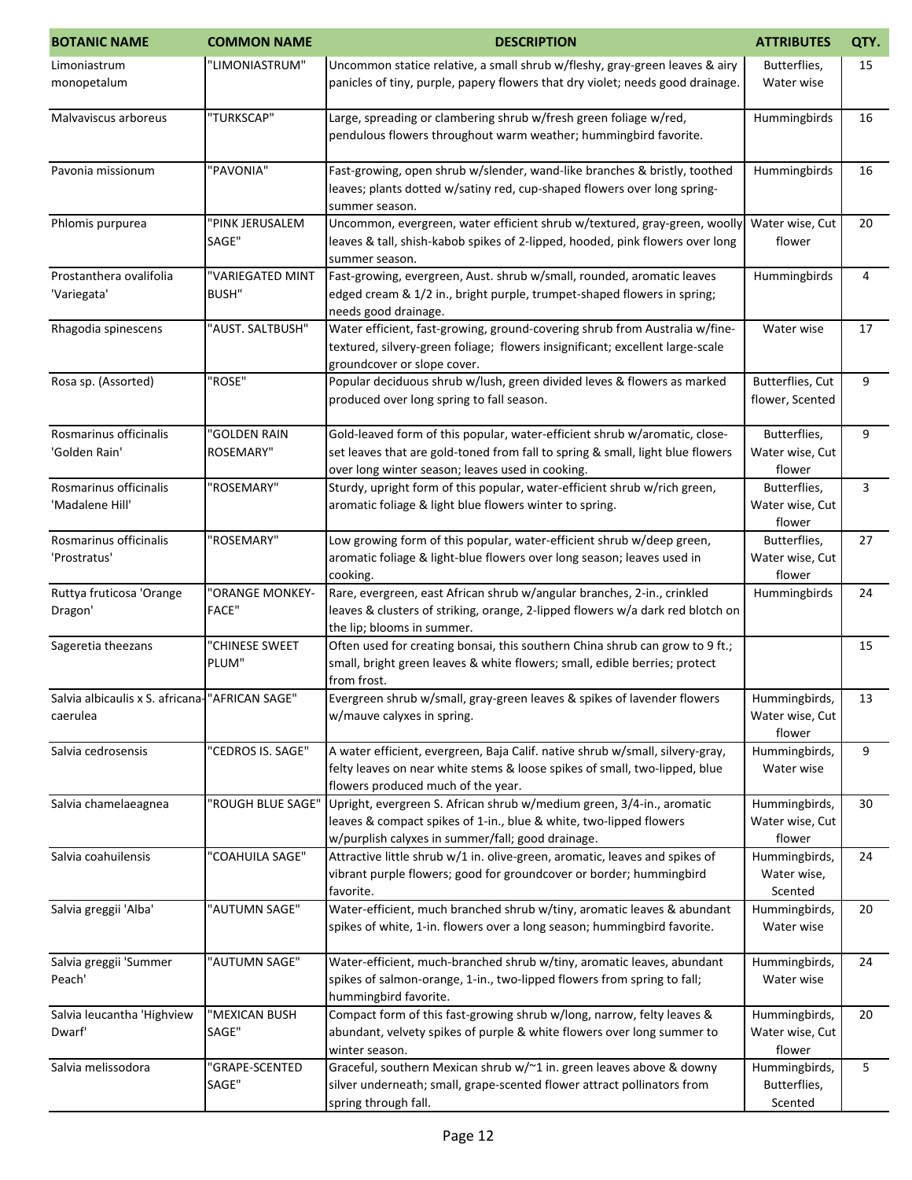| <b>BOTANIC NAME</b>                                         | <b>COMMON NAME</b>               | <b>DESCRIPTION</b>                                                                                                                                                                                               | <b>ATTRIBUTES</b>                          | QTY. |
|-------------------------------------------------------------|----------------------------------|------------------------------------------------------------------------------------------------------------------------------------------------------------------------------------------------------------------|--------------------------------------------|------|
| Limoniastrum<br>monopetalum                                 | "LIMONIASTRUM"                   | Uncommon statice relative, a small shrub w/fleshy, gray-green leaves & airy<br>panicles of tiny, purple, papery flowers that dry violet; needs good drainage.                                                    | Butterflies,<br>Water wise                 | 15   |
| Malvaviscus arboreus                                        | "TURKSCAP"                       | Large, spreading or clambering shrub w/fresh green foliage w/red,<br>pendulous flowers throughout warm weather; hummingbird favorite.                                                                            | Hummingbirds                               | 16   |
| Pavonia missionum                                           | "PAVONIA"                        | Fast-growing, open shrub w/slender, wand-like branches & bristly, toothed<br>leaves; plants dotted w/satiny red, cup-shaped flowers over long spring-<br>summer season.                                          | Hummingbirds                               | 16   |
| Phlomis purpurea                                            | "PINK JERUSALEM<br>SAGE"         | Uncommon, evergreen, water efficient shrub w/textured, gray-green, woolly<br>leaves & tall, shish-kabob spikes of 2-lipped, hooded, pink flowers over long<br>summer season.                                     | Water wise, Cut<br>flower                  | 20   |
| Prostanthera ovalifolia<br>'Variegata'                      | "VARIEGATED MINT<br><b>BUSH"</b> | Fast-growing, evergreen, Aust. shrub w/small, rounded, aromatic leaves<br>edged cream & 1/2 in., bright purple, trumpet-shaped flowers in spring;<br>needs good drainage.                                        | Hummingbirds                               | 4    |
| Rhagodia spinescens                                         | "AUST. SALTBUSH"                 | Water efficient, fast-growing, ground-covering shrub from Australia w/fine-<br>textured, silvery-green foliage; flowers insignificant; excellent large-scale<br>groundcover or slope cover.                      | Water wise                                 | 17   |
| Rosa sp. (Assorted)                                         | "ROSE"                           | Popular deciduous shrub w/lush, green divided leves & flowers as marked<br>produced over long spring to fall season.                                                                                             | Butterflies, Cut<br>flower, Scented        | 9    |
| Rosmarinus officinalis<br>'Golden Rain'                     | "GOLDEN RAIN<br><b>ROSEMARY"</b> | Gold-leaved form of this popular, water-efficient shrub w/aromatic, close-<br>set leaves that are gold-toned from fall to spring & small, light blue flowers<br>over long winter season; leaves used in cooking. | Butterflies,<br>Water wise, Cut<br>flower  | 9    |
| Rosmarinus officinalis<br>'Madalene Hill'                   | "ROSEMARY"                       | Sturdy, upright form of this popular, water-efficient shrub w/rich green,<br>aromatic foliage & light blue flowers winter to spring.                                                                             | Butterflies,<br>Water wise, Cut<br>flower  | 3    |
| Rosmarinus officinalis<br>'Prostratus'                      | "ROSEMARY"                       | Low growing form of this popular, water-efficient shrub w/deep green,<br>aromatic foliage & light-blue flowers over long season; leaves used in<br>cooking.                                                      | Butterflies,<br>Water wise, Cut<br>flower  | 27   |
| Ruttya fruticosa 'Orange<br>Dragon'                         | "ORANGE MONKEY-<br><b>FACE"</b>  | Rare, evergreen, east African shrub w/angular branches, 2-in., crinkled<br>leaves & clusters of striking, orange, 2-lipped flowers w/a dark red blotch on<br>the lip; blooms in summer.                          | Hummingbirds                               | 24   |
| Sageretia theezans                                          | "CHINESE SWEET<br>PLUM"          | Often used for creating bonsai, this southern China shrub can grow to 9 ft.;<br>small, bright green leaves & white flowers; small, edible berries; protect<br>from frost.                                        |                                            | 15   |
| Salvia albicaulis x S. africana- "AFRICAN SAGE"<br>caerulea |                                  | Evergreen shrub w/small, gray-green leaves & spikes of lavender flowers<br>w/mauve calyxes in spring.                                                                                                            | Hummingbirds,<br>Water wise, Cut<br>flower | 13   |
| Salvia cedrosensis                                          | "CEDROS IS. SAGE"                | A water efficient, evergreen, Baja Calif. native shrub w/small, silvery-gray,<br>felty leaves on near white stems & loose spikes of small, two-lipped, blue<br>flowers produced much of the year.                | Hummingbirds,<br>Water wise                | 9    |
| Salvia chamelaeagnea                                        | "ROUGH BLUE SAGE"                | Upright, evergreen S. African shrub w/medium green, 3/4-in., aromatic<br>leaves & compact spikes of 1-in., blue & white, two-lipped flowers<br>w/purplish calyxes in summer/fall; good drainage.                 | Hummingbirds,<br>Water wise, Cut<br>flower | 30   |
| Salvia coahuilensis                                         | "COAHUILA SAGE"                  | Attractive little shrub w/1 in. olive-green, aromatic, leaves and spikes of<br>vibrant purple flowers; good for groundcover or border; hummingbird<br>favorite.                                                  | Hummingbirds,<br>Water wise,<br>Scented    | 24   |
| Salvia greggii 'Alba'                                       | "AUTUMN SAGE"                    | Water-efficient, much branched shrub w/tiny, aromatic leaves & abundant<br>spikes of white, 1-in. flowers over a long season; hummingbird favorite.                                                              | Hummingbirds,<br>Water wise                | 20   |
| Salvia greggii 'Summer<br>Peach'                            | "AUTUMN SAGE"                    | Water-efficient, much-branched shrub w/tiny, aromatic leaves, abundant<br>spikes of salmon-orange, 1-in., two-lipped flowers from spring to fall;<br>hummingbird favorite.                                       | Hummingbirds,<br>Water wise                | 24   |
| Salvia leucantha 'Highview<br>Dwarf'                        | "MEXICAN BUSH<br>SAGE"           | Compact form of this fast-growing shrub w/long, narrow, felty leaves &<br>abundant, velvety spikes of purple & white flowers over long summer to<br>winter season.                                               | Hummingbirds,<br>Water wise, Cut<br>flower | 20   |
| Salvia melissodora                                          | "GRAPE-SCENTED<br>SAGE"          | Graceful, southern Mexican shrub w/~1 in. green leaves above & downy<br>silver underneath; small, grape-scented flower attract pollinators from<br>spring through fall.                                          | Hummingbirds,<br>Butterflies,<br>Scented   | 5    |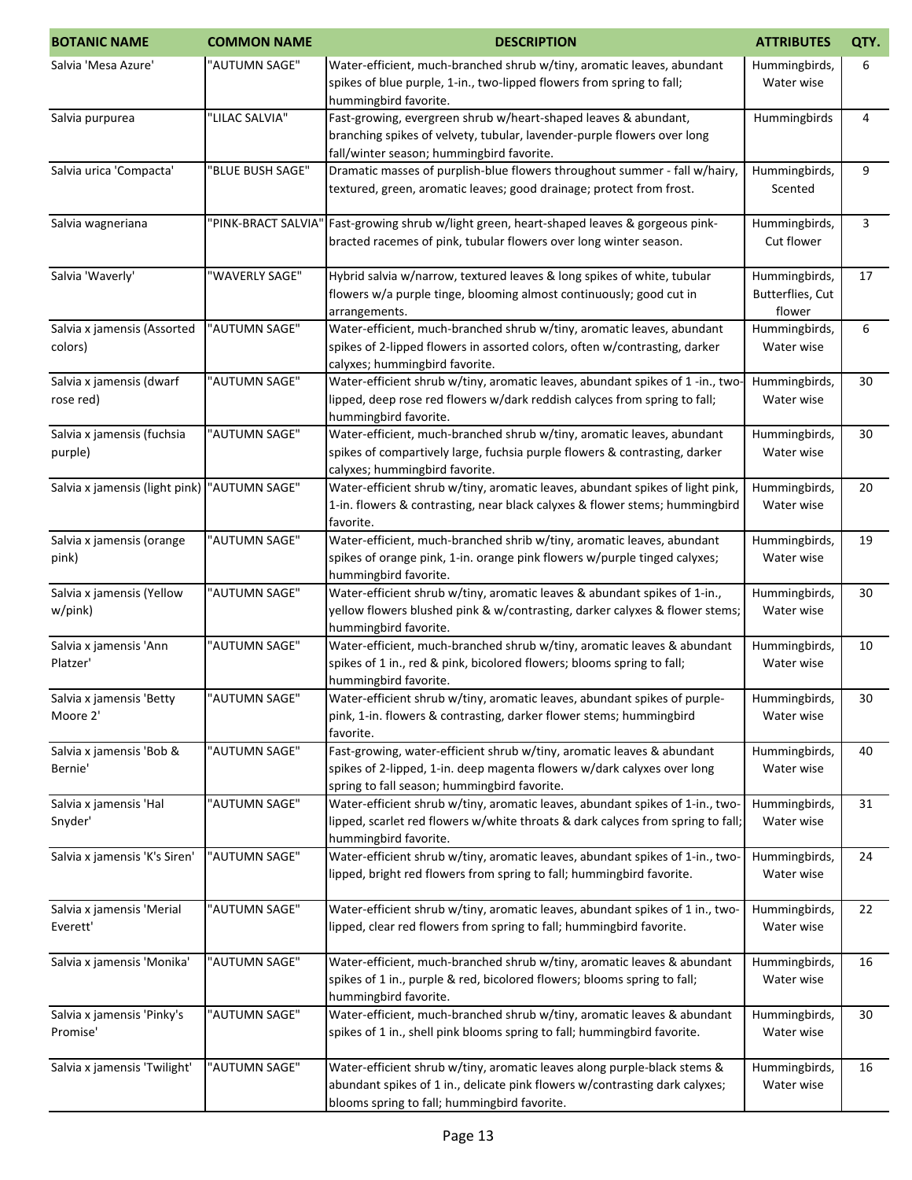| <b>BOTANIC NAME</b>                          | <b>COMMON NAME</b>  | <b>DESCRIPTION</b>                                                                                                                                                                                      | <b>ATTRIBUTES</b>                           | QTY. |
|----------------------------------------------|---------------------|---------------------------------------------------------------------------------------------------------------------------------------------------------------------------------------------------------|---------------------------------------------|------|
| Salvia 'Mesa Azure'                          | "AUTUMN SAGE"       | Water-efficient, much-branched shrub w/tiny, aromatic leaves, abundant<br>spikes of blue purple, 1-in., two-lipped flowers from spring to fall;<br>hummingbird favorite.                                | Hummingbirds,<br>Water wise                 | 6    |
| Salvia purpurea                              | "LILAC SALVIA"      | Fast-growing, evergreen shrub w/heart-shaped leaves & abundant,<br>branching spikes of velvety, tubular, lavender-purple flowers over long<br>fall/winter season; hummingbird favorite.                 | Hummingbirds                                | 4    |
| Salvia urica 'Compacta'                      | "BLUE BUSH SAGE"    | Dramatic masses of purplish-blue flowers throughout summer - fall w/hairy,<br>textured, green, aromatic leaves; good drainage; protect from frost.                                                      | Hummingbirds,<br>Scented                    | 9    |
| Salvia wagneriana                            | "PINK-BRACT SALVIA" | Fast-growing shrub w/light green, heart-shaped leaves & gorgeous pink-<br>bracted racemes of pink, tubular flowers over long winter season.                                                             | Hummingbirds,<br>Cut flower                 | 3    |
| Salvia 'Waverly'                             | "WAVERLY SAGE"      | Hybrid salvia w/narrow, textured leaves & long spikes of white, tubular<br>flowers w/a purple tinge, blooming almost continuously; good cut in<br>arrangements.                                         | Hummingbirds,<br>Butterflies, Cut<br>flower | 17   |
| Salvia x jamensis (Assorted<br>colors)       | "AUTUMN SAGE"       | Water-efficient, much-branched shrub w/tiny, aromatic leaves, abundant<br>spikes of 2-lipped flowers in assorted colors, often w/contrasting, darker<br>calyxes; hummingbird favorite.                  | Hummingbirds,<br>Water wise                 | 6    |
| Salvia x jamensis (dwarf<br>rose red)        | "AUTUMN SAGE"       | Water-efficient shrub w/tiny, aromatic leaves, abundant spikes of 1 -in., two<br>lipped, deep rose red flowers w/dark reddish calyces from spring to fall;<br>hummingbird favorite.                     | Hummingbirds,<br>Water wise                 | 30   |
| Salvia x jamensis (fuchsia<br>purple)        | "AUTUMN SAGE"       | Water-efficient, much-branched shrub w/tiny, aromatic leaves, abundant<br>spikes of compartively large, fuchsia purple flowers & contrasting, darker<br>calyxes; hummingbird favorite.                  | Hummingbirds,<br>Water wise                 | 30   |
| Salvia x jamensis (light pink) "AUTUMN SAGE" |                     | Water-efficient shrub w/tiny, aromatic leaves, abundant spikes of light pink,<br>1-in. flowers & contrasting, near black calyxes & flower stems; hummingbird<br>favorite.                               | Hummingbirds,<br>Water wise                 | 20   |
| Salvia x jamensis (orange<br>pink)           | "AUTUMN SAGE"       | Water-efficient, much-branched shrib w/tiny, aromatic leaves, abundant<br>spikes of orange pink, 1-in. orange pink flowers w/purple tinged calyxes;<br>hummingbird favorite.                            | Hummingbirds,<br>Water wise                 | 19   |
| Salvia x jamensis (Yellow<br>w/pink)         | "AUTUMN SAGE"       | Water-efficient shrub w/tiny, aromatic leaves & abundant spikes of 1-in.,<br>yellow flowers blushed pink & w/contrasting, darker calyxes & flower stems;<br>hummingbird favorite.                       | Hummingbirds,<br>Water wise                 | 30   |
| Salvia x jamensis 'Ann<br>Platzer'           | "AUTUMN SAGE"       | Water-efficient, much-branched shrub w/tiny, aromatic leaves & abundant<br>spikes of 1 in., red & pink, bicolored flowers; blooms spring to fall;<br>hummingbird favorite.                              | Hummingbirds,<br>Water wise                 | 10   |
| Salvia x jamensis 'Betty<br>Moore 2'         | "AUTUMN SAGE"       | Water-efficient shrub w/tiny, aromatic leaves, abundant spikes of purple-<br>pink, 1-in. flowers & contrasting, darker flower stems; hummingbird<br>favorite.                                           | Hummingbirds,<br>Water wise                 | 30   |
| Salvia x jamensis 'Bob &<br>Bernie'          | "AUTUMN SAGE"       | Fast-growing, water-efficient shrub w/tiny, aromatic leaves & abundant<br>spikes of 2-lipped, 1-in. deep magenta flowers w/dark calyxes over long<br>spring to fall season; hummingbird favorite.       | Hummingbirds,<br>Water wise                 | 40   |
| Salvia x jamensis 'Hal<br>Snyder'            | "AUTUMN SAGE"       | Water-efficient shrub w/tiny, aromatic leaves, abundant spikes of 1-in., two-<br>lipped, scarlet red flowers w/white throats & dark calyces from spring to fall;<br>hummingbird favorite.               | Hummingbirds,<br>Water wise                 | 31   |
| Salvia x jamensis 'K's Siren'                | "AUTUMN SAGE"       | Water-efficient shrub w/tiny, aromatic leaves, abundant spikes of 1-in., two-<br>lipped, bright red flowers from spring to fall; hummingbird favorite.                                                  | Hummingbirds,<br>Water wise                 | 24   |
| Salvia x jamensis 'Merial<br>Everett'        | "AUTUMN SAGE"       | Water-efficient shrub w/tiny, aromatic leaves, abundant spikes of 1 in., two-<br>lipped, clear red flowers from spring to fall; hummingbird favorite.                                                   | Hummingbirds,<br>Water wise                 | 22   |
| Salvia x jamensis 'Monika'                   | "AUTUMN SAGE"       | Water-efficient, much-branched shrub w/tiny, aromatic leaves & abundant<br>spikes of 1 in., purple & red, bicolored flowers; blooms spring to fall;<br>hummingbird favorite.                            | Hummingbirds,<br>Water wise                 | 16   |
| Salvia x jamensis 'Pinky's<br>Promise'       | "AUTUMN SAGE"       | Water-efficient, much-branched shrub w/tiny, aromatic leaves & abundant<br>spikes of 1 in., shell pink blooms spring to fall; hummingbird favorite.                                                     | Hummingbirds,<br>Water wise                 | 30   |
| Salvia x jamensis 'Twilight'                 | "AUTUMN SAGE"       | Water-efficient shrub w/tiny, aromatic leaves along purple-black stems &<br>abundant spikes of 1 in., delicate pink flowers w/contrasting dark calyxes;<br>blooms spring to fall; hummingbird favorite. | Hummingbirds,<br>Water wise                 | 16   |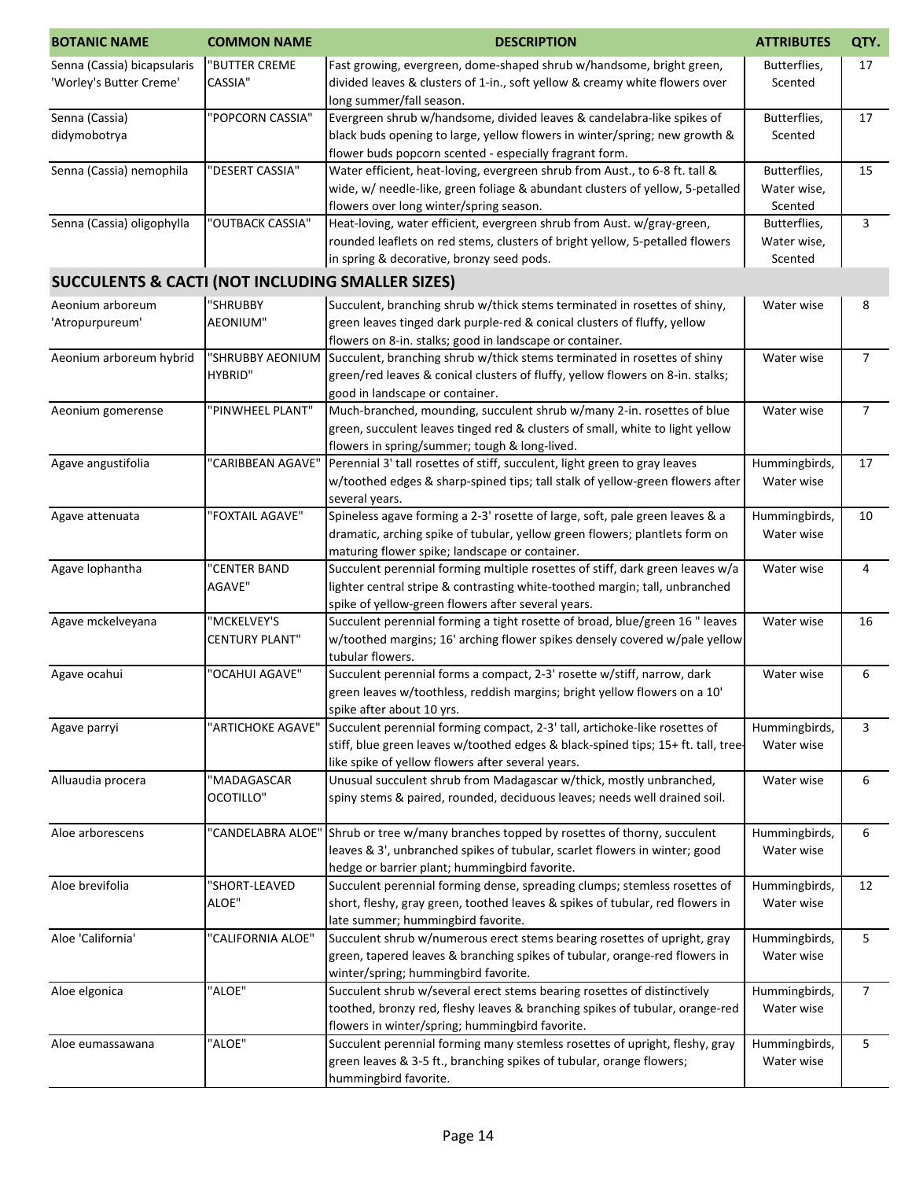| <b>BOTANIC NAME</b>                                         | <b>COMMON NAME</b>    | <b>DESCRIPTION</b>                                                                                                          | <b>ATTRIBUTES</b>           | QTY.           |
|-------------------------------------------------------------|-----------------------|-----------------------------------------------------------------------------------------------------------------------------|-----------------------------|----------------|
| Senna (Cassia) bicapsularis                                 | "BUTTER CREME         | Fast growing, evergreen, dome-shaped shrub w/handsome, bright green,                                                        | Butterflies,                | 17             |
| 'Worley's Butter Creme'                                     | <b>CASSIA"</b>        | divided leaves & clusters of 1-in., soft yellow & creamy white flowers over                                                 | Scented                     |                |
|                                                             |                       | long summer/fall season.                                                                                                    |                             |                |
| Senna (Cassia)                                              | "POPCORN CASSIA"      | Evergreen shrub w/handsome, divided leaves & candelabra-like spikes of                                                      | Butterflies,                | 17             |
| didymobotrya                                                |                       | black buds opening to large, yellow flowers in winter/spring; new growth &                                                  | Scented                     |                |
|                                                             |                       | flower buds popcorn scented - especially fragrant form.                                                                     |                             |                |
| Senna (Cassia) nemophila                                    | 'DESERT CASSIA"       | Water efficient, heat-loving, evergreen shrub from Aust., to 6-8 ft. tall &                                                 | Butterflies,                | 15             |
|                                                             |                       | wide, w/ needle-like, green foliage & abundant clusters of yellow, 5-petalled                                               | Water wise,                 |                |
|                                                             |                       | flowers over long winter/spring season.                                                                                     | Scented                     |                |
| Senna (Cassia) oligophylla                                  | 'OUTBACK CASSIA"      | Heat-loving, water efficient, evergreen shrub from Aust. w/gray-green,                                                      | Butterflies,                | 3              |
|                                                             |                       | rounded leaflets on red stems, clusters of bright yellow, 5-petalled flowers                                                | Water wise,                 |                |
|                                                             |                       | in spring & decorative, bronzy seed pods.                                                                                   | Scented                     |                |
| <b>SUCCULENTS &amp; CACTI (NOT INCLUDING SMALLER SIZES)</b> |                       |                                                                                                                             |                             |                |
| Aeonium arboreum                                            | "SHRUBBY              | Succulent, branching shrub w/thick stems terminated in rosettes of shiny,                                                   | Water wise                  | 8              |
| 'Atropurpureum'                                             | AEONIUM"              | green leaves tinged dark purple-red & conical clusters of fluffy, yellow                                                    |                             |                |
|                                                             |                       | flowers on 8-in. stalks; good in landscape or container.                                                                    |                             |                |
| Aeonium arboreum hybrid                                     | "SHRUBBY AEONIUM      | Succulent, branching shrub w/thick stems terminated in rosettes of shiny                                                    | Water wise                  | $\overline{7}$ |
|                                                             | <b>HYBRID"</b>        | green/red leaves & conical clusters of fluffy, yellow flowers on 8-in. stalks;                                              |                             |                |
|                                                             |                       | good in landscape or container.                                                                                             |                             |                |
| Aeonium gomerense                                           | "PINWHEEL PLANT"      | Much-branched, mounding, succulent shrub w/many 2-in. rosettes of blue                                                      | Water wise                  | $\overline{7}$ |
|                                                             |                       | green, succulent leaves tinged red & clusters of small, white to light yellow                                               |                             |                |
|                                                             |                       | flowers in spring/summer; tough & long-lived.                                                                               |                             |                |
| Agave angustifolia                                          | "CARIBBEAN AGAVE"     | Perennial 3' tall rosettes of stiff, succulent, light green to gray leaves                                                  | Hummingbirds,               | 17             |
|                                                             |                       | w/toothed edges & sharp-spined tips; tall stalk of yellow-green flowers after                                               | Water wise                  |                |
|                                                             |                       | several years.                                                                                                              |                             |                |
| Agave attenuata                                             | "FOXTAIL AGAVE"       | Spineless agave forming a 2-3' rosette of large, soft, pale green leaves & a                                                | Hummingbirds,               | 10             |
|                                                             |                       | dramatic, arching spike of tubular, yellow green flowers; plantlets form on                                                 | Water wise                  |                |
|                                                             |                       | maturing flower spike; landscape or container.                                                                              |                             |                |
| Agave lophantha                                             | "CENTER BAND          | Succulent perennial forming multiple rosettes of stiff, dark green leaves w/a                                               | Water wise                  | 4              |
|                                                             | AGAVE"                | lighter central stripe & contrasting white-toothed margin; tall, unbranched                                                 |                             |                |
|                                                             |                       | spike of yellow-green flowers after several years.                                                                          |                             |                |
| Agave mckelveyana                                           | "MCKELVEY'S           | Succulent perennial forming a tight rosette of broad, blue/green 16 " leaves                                                | Water wise                  | 16             |
|                                                             | <b>CENTURY PLANT"</b> | w/toothed margins; 16' arching flower spikes densely covered w/pale yellow                                                  |                             |                |
|                                                             |                       | tubular flowers.                                                                                                            |                             |                |
| Agave ocahui                                                | 'OCAHUI AGAVE"        | Succulent perennial forms a compact, 2-3' rosette w/stiff, narrow, dark                                                     | Water wise                  | 6              |
|                                                             |                       | green leaves w/toothless, reddish margins; bright yellow flowers on a 10'                                                   |                             |                |
|                                                             |                       | spike after about 10 yrs.                                                                                                   |                             |                |
| Agave parryi                                                | "ARTICHOKE AGAVE"     | Succulent perennial forming compact, 2-3' tall, artichoke-like rosettes of                                                  | Hummingbirds,               | 3              |
|                                                             |                       | stiff, blue green leaves w/toothed edges & black-spined tips; 15+ ft. tall, tree-                                           | Water wise                  |                |
|                                                             |                       | like spike of yellow flowers after several years.                                                                           |                             |                |
| Alluaudia procera                                           | "MADAGASCAR           | Unusual succulent shrub from Madagascar w/thick, mostly unbranched,                                                         | Water wise                  | 6              |
|                                                             | OCOTILLO"             | spiny stems & paired, rounded, deciduous leaves; needs well drained soil.                                                   |                             |                |
| Aloe arborescens                                            |                       |                                                                                                                             |                             |                |
|                                                             | 'CANDELABRA ALOE"     | Shrub or tree w/many branches topped by rosettes of thorny, succulent                                                       | Hummingbirds,               | 6              |
|                                                             |                       | leaves & 3', unbranched spikes of tubular, scarlet flowers in winter; good<br>hedge or barrier plant; hummingbird favorite. | Water wise                  |                |
|                                                             | "SHORT-LEAVED         | Succulent perennial forming dense, spreading clumps; stemless rosettes of                                                   |                             |                |
| Aloe brevifolia                                             | ALOE"                 | short, fleshy, gray green, toothed leaves & spikes of tubular, red flowers in                                               | Hummingbirds,<br>Water wise | 12             |
|                                                             |                       | late summer; hummingbird favorite.                                                                                          |                             |                |
| Aloe 'California'                                           | "CALIFORNIA ALOE"     | Succulent shrub w/numerous erect stems bearing rosettes of upright, gray                                                    | Hummingbirds,               | 5              |
|                                                             |                       | green, tapered leaves & branching spikes of tubular, orange-red flowers in                                                  | Water wise                  |                |
|                                                             |                       | winter/spring; hummingbird favorite.                                                                                        |                             |                |
| Aloe elgonica                                               | "ALOE"                | Succulent shrub w/several erect stems bearing rosettes of distinctively                                                     | Hummingbirds,               | $\overline{7}$ |
|                                                             |                       | toothed, bronzy red, fleshy leaves & branching spikes of tubular, orange-red                                                | Water wise                  |                |
|                                                             |                       | flowers in winter/spring; hummingbird favorite.                                                                             |                             |                |
| Aloe eumassawana                                            | "ALOE"                | Succulent perennial forming many stemless rosettes of upright, fleshy, gray                                                 | Hummingbirds,               | 5              |
|                                                             |                       | green leaves & 3-5 ft., branching spikes of tubular, orange flowers;                                                        | Water wise                  |                |
|                                                             |                       | hummingbird favorite.                                                                                                       |                             |                |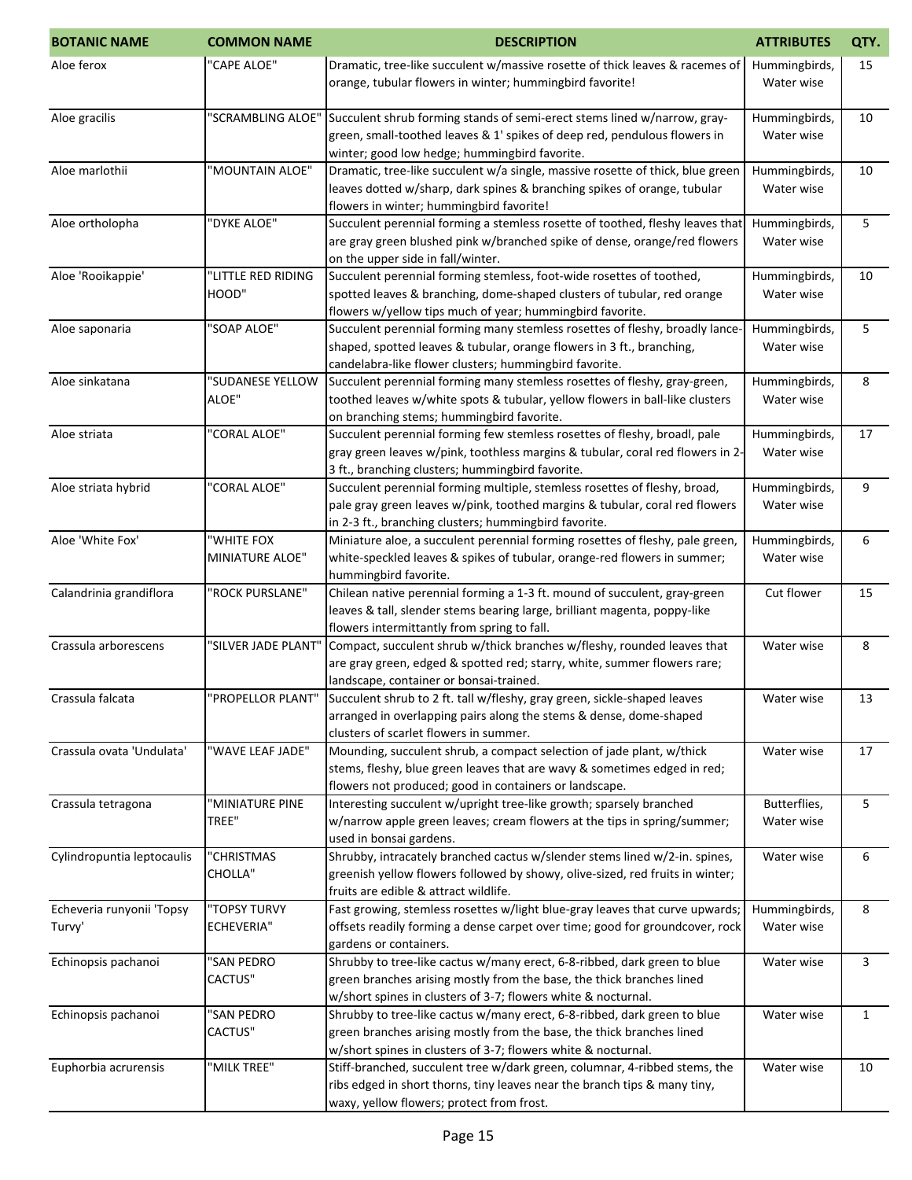| <b>BOTANIC NAME</b>                 | <b>COMMON NAME</b>                   | <b>DESCRIPTION</b>                                                                                                                                                                                                 | <b>ATTRIBUTES</b>           | QTY.         |
|-------------------------------------|--------------------------------------|--------------------------------------------------------------------------------------------------------------------------------------------------------------------------------------------------------------------|-----------------------------|--------------|
| Aloe ferox                          | 'CAPE ALOE"                          | Dramatic, tree-like succulent w/massive rosette of thick leaves & racemes of<br>orange, tubular flowers in winter; hummingbird favorite!                                                                           | Hummingbirds,<br>Water wise | 15           |
| Aloe gracilis                       | "SCRAMBLING ALOE"                    | Succulent shrub forming stands of semi-erect stems lined w/narrow, gray-<br>green, small-toothed leaves & 1' spikes of deep red, pendulous flowers in<br>winter; good low hedge; hummingbird favorite.             | Hummingbirds,<br>Water wise | 10           |
| Aloe marlothii                      | "MOUNTAIN ALOE"                      | Dramatic, tree-like succulent w/a single, massive rosette of thick, blue green<br>leaves dotted w/sharp, dark spines & branching spikes of orange, tubular<br>flowers in winter; hummingbird favorite!             | Hummingbirds,<br>Water wise | 10           |
| Aloe ortholopha                     | "DYKE ALOE"                          | Succulent perennial forming a stemless rosette of toothed, fleshy leaves that<br>are gray green blushed pink w/branched spike of dense, orange/red flowers<br>on the upper side in fall/winter.                    | Hummingbirds,<br>Water wise | 5            |
| Aloe 'Rooikappie'                   | "LITTLE RED RIDING<br>HOOD"          | Succulent perennial forming stemless, foot-wide rosettes of toothed,<br>spotted leaves & branching, dome-shaped clusters of tubular, red orange<br>flowers w/yellow tips much of year; hummingbird favorite.       | Hummingbirds,<br>Water wise | 10           |
| Aloe saponaria                      | "SOAP ALOE"                          | Succulent perennial forming many stemless rosettes of fleshy, broadly lance-<br>shaped, spotted leaves & tubular, orange flowers in 3 ft., branching,<br>candelabra-like flower clusters; hummingbird favorite.    | Hummingbirds,<br>Water wise | 5            |
| Aloe sinkatana                      | "SUDANESE YELLOW<br>ALOE"            | Succulent perennial forming many stemless rosettes of fleshy, gray-green,<br>toothed leaves w/white spots & tubular, yellow flowers in ball-like clusters<br>on branching stems; hummingbird favorite.             | Hummingbirds,<br>Water wise | 8            |
| Aloe striata                        | "CORAL ALOE"                         | Succulent perennial forming few stemless rosettes of fleshy, broadl, pale<br>gray green leaves w/pink, toothless margins & tubular, coral red flowers in 2-<br>3 ft., branching clusters; hummingbird favorite.    | Hummingbirds,<br>Water wise | 17           |
| Aloe striata hybrid                 | "CORAL ALOE"                         | Succulent perennial forming multiple, stemless rosettes of fleshy, broad,<br>pale gray green leaves w/pink, toothed margins & tubular, coral red flowers<br>in 2-3 ft., branching clusters; hummingbird favorite.  | Hummingbirds,<br>Water wise | 9            |
| Aloe 'White Fox'                    | "WHITE FOX<br><b>MINIATURE ALOE"</b> | Miniature aloe, a succulent perennial forming rosettes of fleshy, pale green,<br>white-speckled leaves & spikes of tubular, orange-red flowers in summer;<br>hummingbird favorite.                                 | Hummingbirds,<br>Water wise | 6            |
| Calandrinia grandiflora             | "ROCK PURSLANE"                      | Chilean native perennial forming a 1-3 ft. mound of succulent, gray-green<br>leaves & tall, slender stems bearing large, brilliant magenta, poppy-like<br>flowers intermittantly from spring to fall.              | Cut flower                  | 15           |
| Crassula arborescens                | "SILVER JADE PLANT"                  | Compact, succulent shrub w/thick branches w/fleshy, rounded leaves that<br>are gray green, edged & spotted red; starry, white, summer flowers rare;<br>landscape, container or bonsai-trained.                     | Water wise                  | 8            |
| Crassula falcata                    | 'PROPELLOR PLANT"                    | Succulent shrub to 2 ft. tall w/fleshy, gray green, sickle-shaped leaves<br>arranged in overlapping pairs along the stems & dense, dome-shaped<br>clusters of scarlet flowers in summer.                           | Water wise                  | 13           |
| Crassula ovata 'Undulata'           | "WAVE LEAF JADE"                     | Mounding, succulent shrub, a compact selection of jade plant, w/thick<br>stems, fleshy, blue green leaves that are wavy & sometimes edged in red;<br>flowers not produced; good in containers or landscape.        | Water wise                  | 17           |
| Crassula tetragona                  | "MINIATURE PINE<br>TREE"             | Interesting succulent w/upright tree-like growth; sparsely branched<br>w/narrow apple green leaves; cream flowers at the tips in spring/summer;<br>used in bonsai gardens.                                         | Butterflies,<br>Water wise  | 5            |
| Cylindropuntia leptocaulis          | "CHRISTMAS<br><b>CHOLLA"</b>         | Shrubby, intracately branched cactus w/slender stems lined w/2-in. spines,<br>greenish yellow flowers followed by showy, olive-sized, red fruits in winter;<br>fruits are edible & attract wildlife.               | Water wise                  | 6            |
| Echeveria runyonii 'Topsy<br>Turvy' | "TOPSY TURVY<br><b>ECHEVERIA"</b>    | Fast growing, stemless rosettes w/light blue-gray leaves that curve upwards;<br>offsets readily forming a dense carpet over time; good for groundcover, rock<br>gardens or containers.                             | Hummingbirds,<br>Water wise | 8            |
| Echinopsis pachanoi                 | 'SAN PEDRO<br>CACTUS"                | Shrubby to tree-like cactus w/many erect, 6-8-ribbed, dark green to blue<br>green branches arising mostly from the base, the thick branches lined<br>w/short spines in clusters of 3-7; flowers white & nocturnal. | Water wise                  | 3            |
| Echinopsis pachanoi                 | "SAN PEDRO<br>CACTUS"                | Shrubby to tree-like cactus w/many erect, 6-8-ribbed, dark green to blue<br>green branches arising mostly from the base, the thick branches lined<br>w/short spines in clusters of 3-7; flowers white & nocturnal. | Water wise                  | $\mathbf{1}$ |
| Euphorbia acrurensis                | "MILK TREE"                          | Stiff-branched, succulent tree w/dark green, columnar, 4-ribbed stems, the<br>ribs edged in short thorns, tiny leaves near the branch tips & many tiny,<br>waxy, yellow flowers; protect from frost.               | Water wise                  | 10           |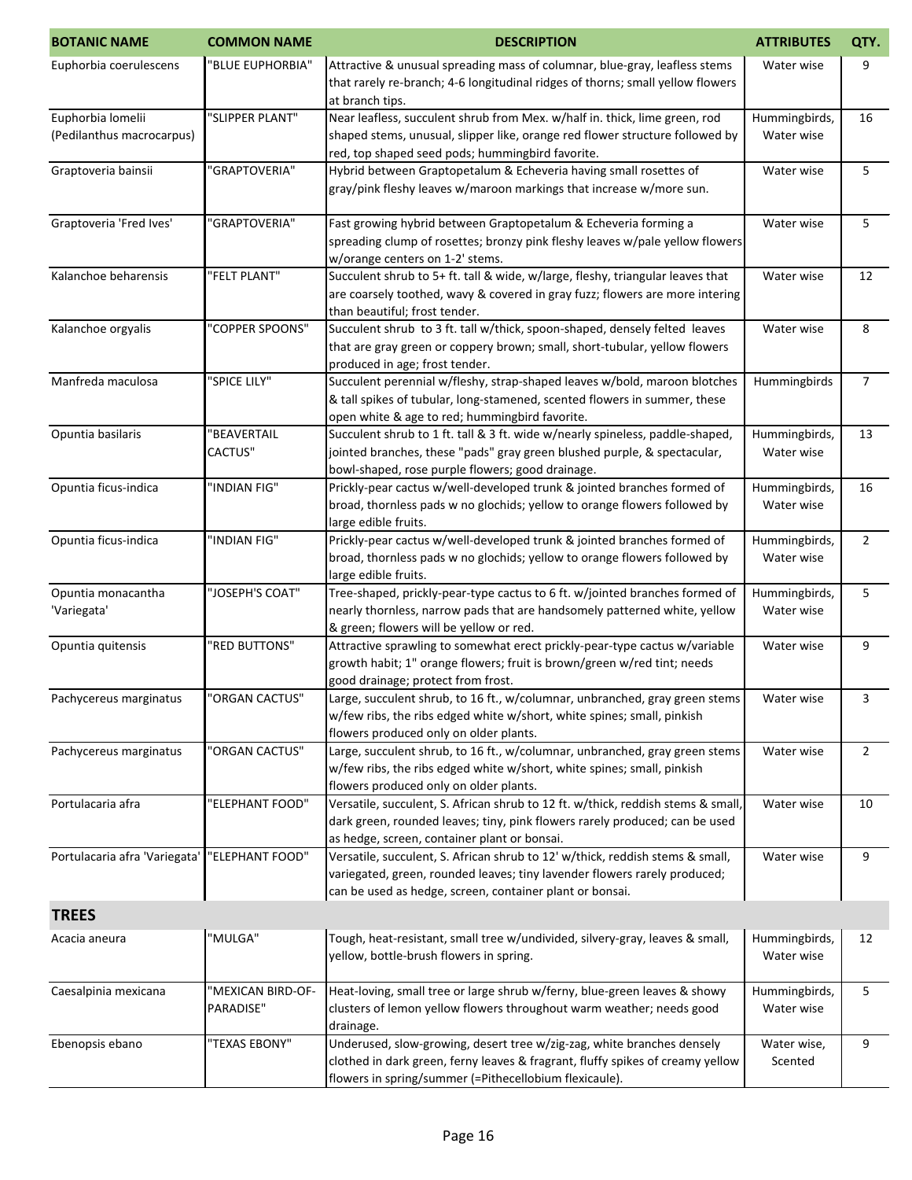| <b>BOTANIC NAME</b>                            | <b>COMMON NAME</b>             | <b>DESCRIPTION</b>                                                                                                                                                                                                     | <b>ATTRIBUTES</b>           | QTY.           |
|------------------------------------------------|--------------------------------|------------------------------------------------------------------------------------------------------------------------------------------------------------------------------------------------------------------------|-----------------------------|----------------|
| Euphorbia coerulescens                         | "BLUE EUPHORBIA"               | Attractive & unusual spreading mass of columnar, blue-gray, leafless stems<br>that rarely re-branch; 4-6 longitudinal ridges of thorns; small yellow flowers<br>at branch tips.                                        | Water wise                  | 9              |
| Euphorbia lomelii<br>(Pedilanthus macrocarpus) | "SLIPPER PLANT"                | Near leafless, succulent shrub from Mex. w/half in. thick, lime green, rod<br>shaped stems, unusual, slipper like, orange red flower structure followed by<br>red, top shaped seed pods; hummingbird favorite.         | Hummingbirds,<br>Water wise | 16             |
| Graptoveria bainsii                            | "GRAPTOVERIA"                  | Hybrid between Graptopetalum & Echeveria having small rosettes of<br>gray/pink fleshy leaves w/maroon markings that increase w/more sun.                                                                               | Water wise                  | 5              |
| Graptoveria 'Fred Ives'                        | "GRAPTOVERIA"                  | Fast growing hybrid between Graptopetalum & Echeveria forming a<br>spreading clump of rosettes; bronzy pink fleshy leaves w/pale yellow flowers<br>w/orange centers on 1-2' stems.                                     | Water wise                  | 5              |
| Kalanchoe beharensis                           | "FELT PLANT"                   | Succulent shrub to 5+ ft. tall & wide, w/large, fleshy, triangular leaves that<br>are coarsely toothed, wavy & covered in gray fuzz; flowers are more intering<br>than beautiful; frost tender.                        | Water wise                  | 12             |
| Kalanchoe orgyalis                             | "COPPER SPOONS"                | Succulent shrub to 3 ft. tall w/thick, spoon-shaped, densely felted leaves<br>that are gray green or coppery brown; small, short-tubular, yellow flowers<br>produced in age; frost tender.                             | Water wise                  | 8              |
| Manfreda maculosa                              | "SPICE LILY"                   | Succulent perennial w/fleshy, strap-shaped leaves w/bold, maroon blotches<br>& tall spikes of tubular, long-stamened, scented flowers in summer, these<br>open white & age to red; hummingbird favorite.               | Hummingbirds                | $\overline{7}$ |
| Opuntia basilaris                              | "BEAVERTAIL<br><b>CACTUS"</b>  | Succulent shrub to 1 ft. tall & 3 ft. wide w/nearly spineless, paddle-shaped,<br>jointed branches, these "pads" gray green blushed purple, & spectacular,<br>bowl-shaped, rose purple flowers; good drainage.          | Hummingbirds,<br>Water wise | 13             |
| Opuntia ficus-indica                           | "INDIAN FIG"                   | Prickly-pear cactus w/well-developed trunk & jointed branches formed of<br>broad, thornless pads w no glochids; yellow to orange flowers followed by<br>large edible fruits.                                           | Hummingbirds,<br>Water wise | 16             |
| Opuntia ficus-indica                           | "INDIAN FIG"                   | Prickly-pear cactus w/well-developed trunk & jointed branches formed of<br>broad, thornless pads w no glochids; yellow to orange flowers followed by<br>large edible fruits.                                           | Hummingbirds,<br>Water wise | $\overline{2}$ |
| Opuntia monacantha<br>'Variegata'              | "JOSEPH'S COAT"                | Tree-shaped, prickly-pear-type cactus to 6 ft. w/jointed branches formed of<br>nearly thornless, narrow pads that are handsomely patterned white, yellow<br>& green; flowers will be yellow or red.                    | Hummingbirds,<br>Water wise | 5              |
| Opuntia quitensis                              | "RED BUTTONS"                  | Attractive sprawling to somewhat erect prickly-pear-type cactus w/variable<br>growth habit; 1" orange flowers; fruit is brown/green w/red tint; needs<br>good drainage; protect from frost.                            | Water wise                  | 9              |
| Pachycereus marginatus                         | "ORGAN CACTUS"                 | Large, succulent shrub, to 16 ft., w/columnar, unbranched, gray green stems<br>w/few ribs, the ribs edged white w/short, white spines; small, pinkish<br>flowers produced only on older plants.                        | Water wise                  | 3              |
| Pachycereus marginatus                         | "ORGAN CACTUS"                 | Large, succulent shrub, to 16 ft., w/columnar, unbranched, gray green stems<br>w/few ribs, the ribs edged white w/short, white spines; small, pinkish<br>flowers produced only on older plants.                        | Water wise                  | $\overline{2}$ |
| Portulacaria afra                              | "ELEPHANT FOOD"                | Versatile, succulent, S. African shrub to 12 ft. w/thick, reddish stems & small,<br>dark green, rounded leaves; tiny, pink flowers rarely produced; can be used<br>as hedge, screen, container plant or bonsai.        | Water wise                  | 10             |
| Portulacaria afra 'Variegata'                  | "ELEPHANT FOOD"                | Versatile, succulent, S. African shrub to 12' w/thick, reddish stems & small,<br>variegated, green, rounded leaves; tiny lavender flowers rarely produced;<br>can be used as hedge, screen, container plant or bonsai. | Water wise                  | 9              |
| <b>TREES</b>                                   |                                |                                                                                                                                                                                                                        |                             |                |
| Acacia aneura                                  | "MULGA"                        | Tough, heat-resistant, small tree w/undivided, silvery-gray, leaves & small,<br>yellow, bottle-brush flowers in spring.                                                                                                | Hummingbirds,<br>Water wise | 12             |
| Caesalpinia mexicana                           | "MEXICAN BIRD-OF-<br>PARADISE" | Heat-loving, small tree or large shrub w/ferny, blue-green leaves & showy<br>clusters of lemon yellow flowers throughout warm weather; needs good<br>drainage.                                                         | Hummingbirds,<br>Water wise | 5              |
| Ebenopsis ebano                                | "TEXAS EBONY"                  | Underused, slow-growing, desert tree w/zig-zag, white branches densely<br>clothed in dark green, ferny leaves & fragrant, fluffy spikes of creamy yellow<br>flowers in spring/summer (=Pithecellobium flexicaule).     | Water wise,<br>Scented      | 9              |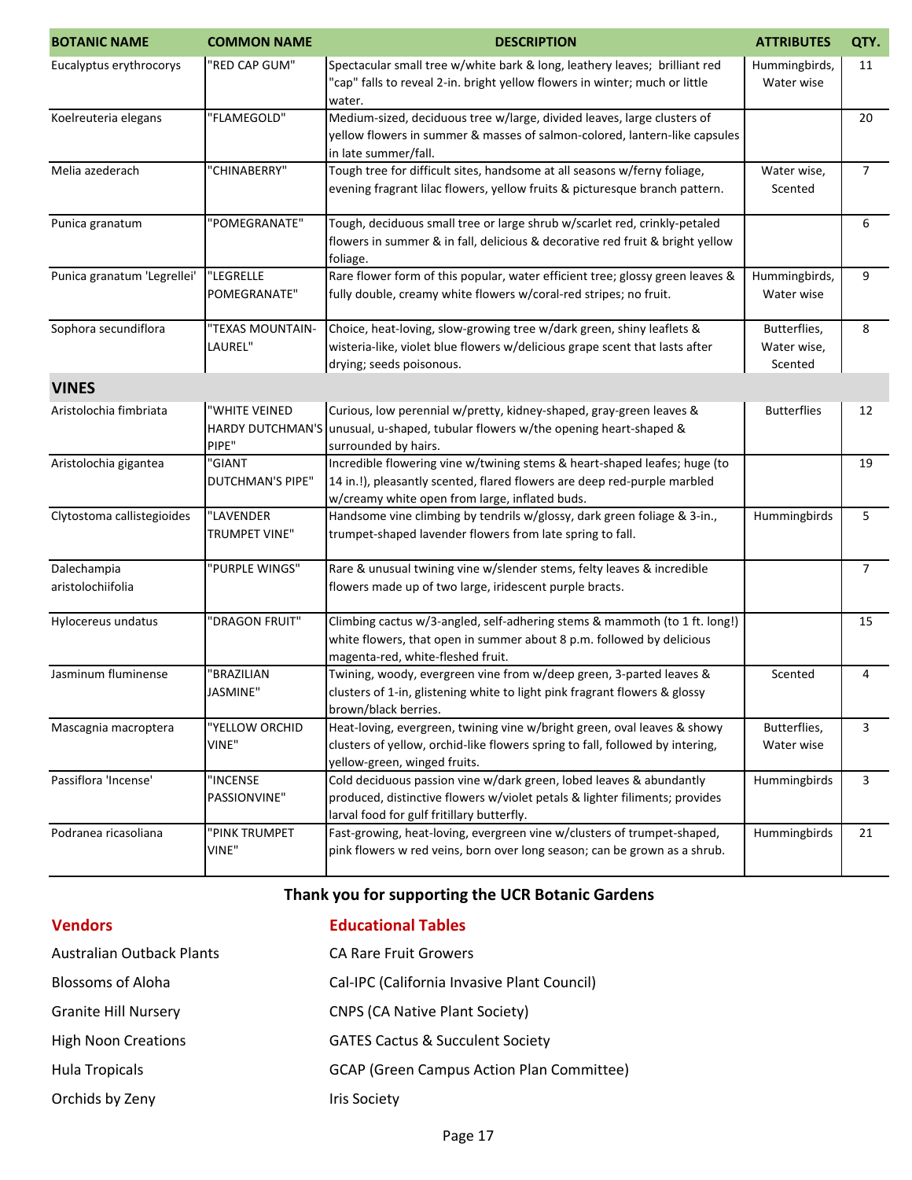| <b>BOTANIC NAME</b>              | <b>COMMON NAME</b>                                | <b>DESCRIPTION</b>                                                                                                                                                                                      | <b>ATTRIBUTES</b>                      | QTY.           |
|----------------------------------|---------------------------------------------------|---------------------------------------------------------------------------------------------------------------------------------------------------------------------------------------------------------|----------------------------------------|----------------|
| Eucalyptus erythrocorys          | "RED CAP GUM"                                     | Spectacular small tree w/white bark & long, leathery leaves; brilliant red<br>"cap" falls to reveal 2-in. bright yellow flowers in winter; much or little<br>water.                                     | Hummingbirds,<br>Water wise            | 11             |
| Koelreuteria elegans             | "FLAMEGOLD"                                       | Medium-sized, deciduous tree w/large, divided leaves, large clusters of<br>yellow flowers in summer & masses of salmon-colored, lantern-like capsules<br>in late summer/fall.                           |                                        | 20             |
| Melia azederach                  | "CHINABERRY"                                      | Tough tree for difficult sites, handsome at all seasons w/ferny foliage,<br>evening fragrant lilac flowers, yellow fruits & picturesque branch pattern.                                                 | Water wise,<br>Scented                 | $\overline{7}$ |
| Punica granatum                  | "POMEGRANATE"                                     | Tough, deciduous small tree or large shrub w/scarlet red, crinkly-petaled<br>flowers in summer & in fall, delicious & decorative red fruit & bright yellow<br>foliage.                                  |                                        | 6              |
| Punica granatum 'Legrellei'      | "LEGRELLE<br>POMEGRANATE"                         | Rare flower form of this popular, water efficient tree; glossy green leaves &<br>fully double, creamy white flowers w/coral-red stripes; no fruit.                                                      | Hummingbirds,<br>Water wise            | 9              |
| Sophora secundiflora             | "TEXAS MOUNTAIN-<br>LAUREL"                       | Choice, heat-loving, slow-growing tree w/dark green, shiny leaflets &<br>wisteria-like, violet blue flowers w/delicious grape scent that lasts after<br>drying; seeds poisonous.                        | Butterflies,<br>Water wise,<br>Scented | 8              |
| <b>VINES</b>                     |                                                   |                                                                                                                                                                                                         |                                        |                |
| Aristolochia fimbriata           | "WHITE VEINED<br><b>HARDY DUTCHMAN'S</b><br>PIPE" | Curious, low perennial w/pretty, kidney-shaped, gray-green leaves &<br>unusual, u-shaped, tubular flowers w/the opening heart-shaped &<br>surrounded by hairs.                                          | <b>Butterflies</b>                     | 12             |
| Aristolochia gigantea            | "GIANT<br><b>DUTCHMAN'S PIPE"</b>                 | Incredible flowering vine w/twining stems & heart-shaped leafes; huge (to<br>14 in.!), pleasantly scented, flared flowers are deep red-purple marbled<br>w/creamy white open from large, inflated buds. |                                        | 19             |
| Clytostoma callistegioides       | "LAVENDER<br>TRUMPET VINE"                        | Handsome vine climbing by tendrils w/glossy, dark green foliage & 3-in.,<br>trumpet-shaped lavender flowers from late spring to fall.                                                                   | Hummingbirds                           | 5              |
| Dalechampia<br>aristolochiifolia | "PURPLE WINGS"                                    | Rare & unusual twining vine w/slender stems, felty leaves & incredible<br>flowers made up of two large, iridescent purple bracts.                                                                       |                                        | $\overline{7}$ |
| Hylocereus undatus               | "DRAGON FRUIT"                                    | Climbing cactus w/3-angled, self-adhering stems & mammoth (to 1 ft. long!)<br>white flowers, that open in summer about 8 p.m. followed by delicious<br>magenta-red, white-fleshed fruit.                |                                        | 15             |
| Jasminum fluminense              | "BRAZILIAN<br>JASMINE"                            | Twining, woody, evergreen vine from w/deep green, 3-parted leaves &<br>clusters of 1-in, glistening white to light pink fragrant flowers & glossy<br>brown/black berries.                               | Scented                                | 4              |
| Mascagnia macroptera             | "YELLOW ORCHID<br>VINE"                           | Heat-loving, evergreen, twining vine w/bright green, oval leaves & showy<br>clusters of yellow, orchid-like flowers spring to fall, followed by intering,<br>yellow-green, winged fruits.               | Butterflies,<br>Water wise             | 3              |
| Passiflora 'Incense'             | "INCENSE<br>PASSIONVINE"                          | Cold deciduous passion vine w/dark green, lobed leaves & abundantly<br>produced, distinctive flowers w/violet petals & lighter filiments; provides<br>larval food for gulf fritillary butterfly.        | Hummingbirds                           | 3              |
| Podranea ricasoliana             | "PINK TRUMPET<br>VINE"                            | Fast-growing, heat-loving, evergreen vine w/clusters of trumpet-shaped,<br>pink flowers w red veins, born over long season; can be grown as a shrub.                                                    | Hummingbirds                           | 21             |

## **Thank you for supporting the UCR Botanic Gardens**

| <b>Vendors</b>              | <b>Educational Tables</b>                        |
|-----------------------------|--------------------------------------------------|
| Australian Outback Plants   | <b>CA Rare Fruit Growers</b>                     |
| <b>Blossoms of Aloha</b>    | Cal-IPC (California Invasive Plant Council)      |
| <b>Granite Hill Nursery</b> | <b>CNPS (CA Native Plant Society)</b>            |
| <b>High Noon Creations</b>  | <b>GATES Cactus &amp; Succulent Society</b>      |
| <b>Hula Tropicals</b>       | <b>GCAP (Green Campus Action Plan Committee)</b> |
| Orchids by Zeny             | Iris Society                                     |